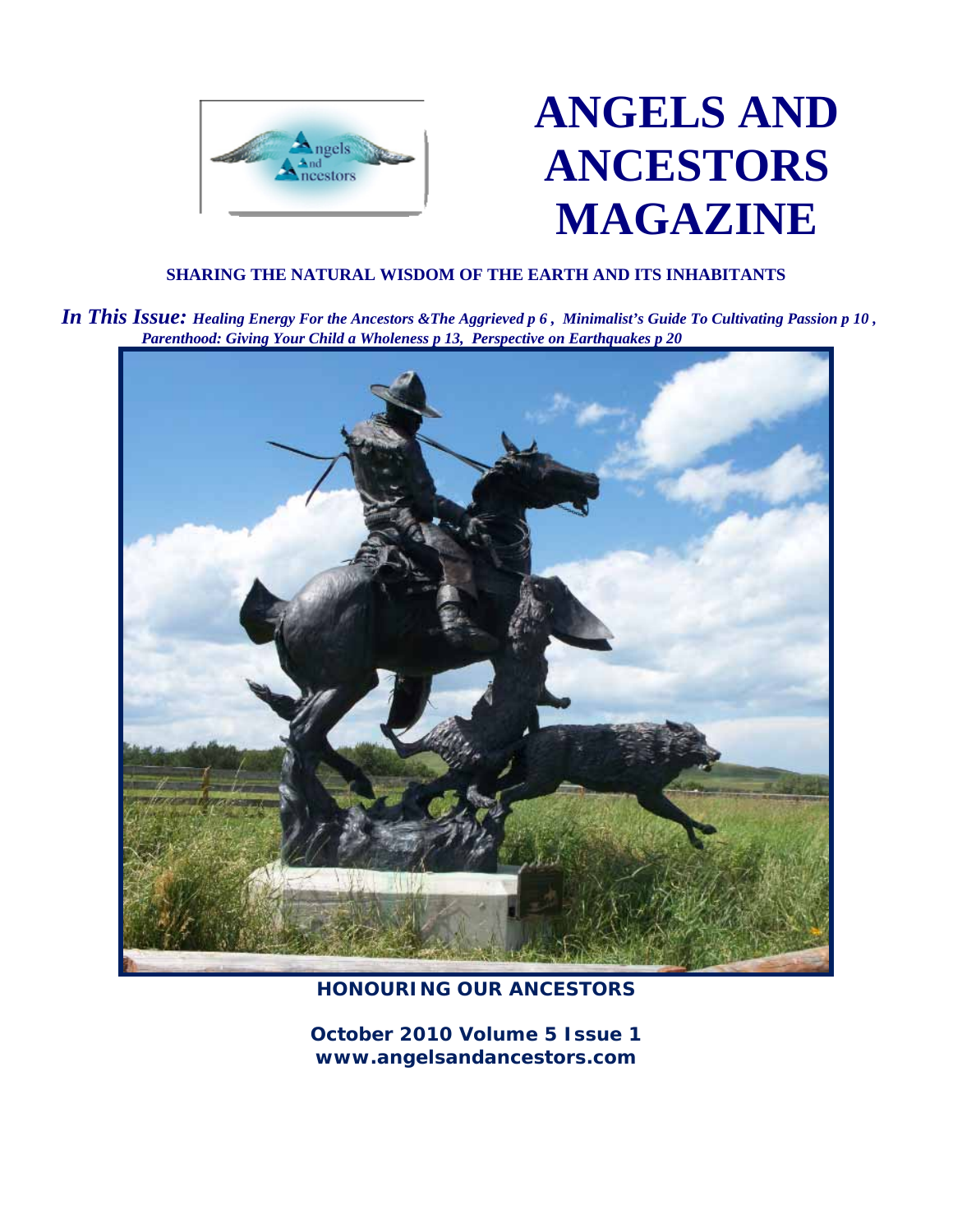

# **ANGELS AND ANCESTORS MAGAZINE**

#### **SHARING THE NATURAL WISDOM OF THE EARTH AND ITS INHABITANTS**

 *In This Issue: Healing Energy For the Ancestors &The Aggrieved p 6 , Minimalist's Guide To Cultivating Passion p 10 , Parenthood: Giving Your Child a Wholeness p 13, Perspective on Earthquakes p 20*



### **HONOURING OUR ANCESTORS**

**October 2010 Volume 5 Issue 1 www.angelsandancestors.com**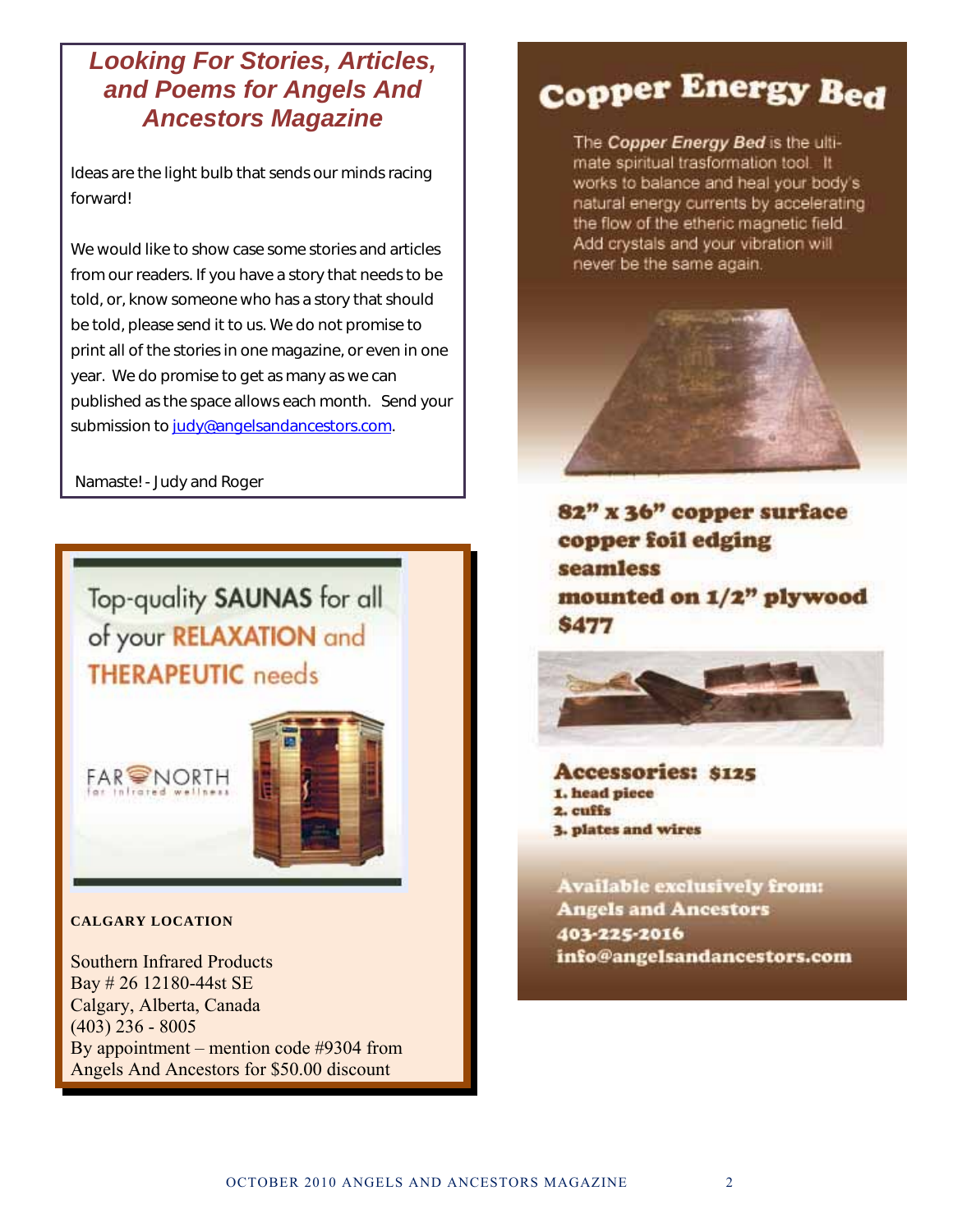## *Looking For Stories, Articles, and Poems for Angels And Ancestors Magazine*

Ideas are the light bulb that sends our minds racing forward!

We would like to show case some stories and articles from our readers. If you have a story that needs to be told, or, know someone who has a story that should be told, please send it to us. We do not promise to print all of the stories in one magazine, or even in one year. We do promise to get as many as we can published as the space allows each month. Send your submission to judy@angelsandancestors.com.

Namaste! - Judy and Roger

Top-quality SAUNAS for all of your RELAXATION and **THERAPEUTIC** needs





**CALGARY LOCATION** 

Southern Infrared Products Bay # 26 12180-44st SE Calgary, Alberta, Canada (403) 236 - 8005 By appointment – mention code #9304 from Angels And Ancestors for \$50.00 discount

# Copper Energy Bed

The Copper Energy Bed is the ultimate spiritual trasformation tool. It works to balance and heal your body's natural energy currents by accelerating the flow of the etheric magnetic field. Add crystals and your vibration will never be the same again.



82" x 36" copper surface copper foil edging seamless mounted on 1/2" plywood **\$477** 



**Accessories: \$125** 1. head piece 2. cuffs **3. plates and wires** 

**Available exclusively from: Angels and Ancestors** 403-225-2016 info@angelsandancestors.com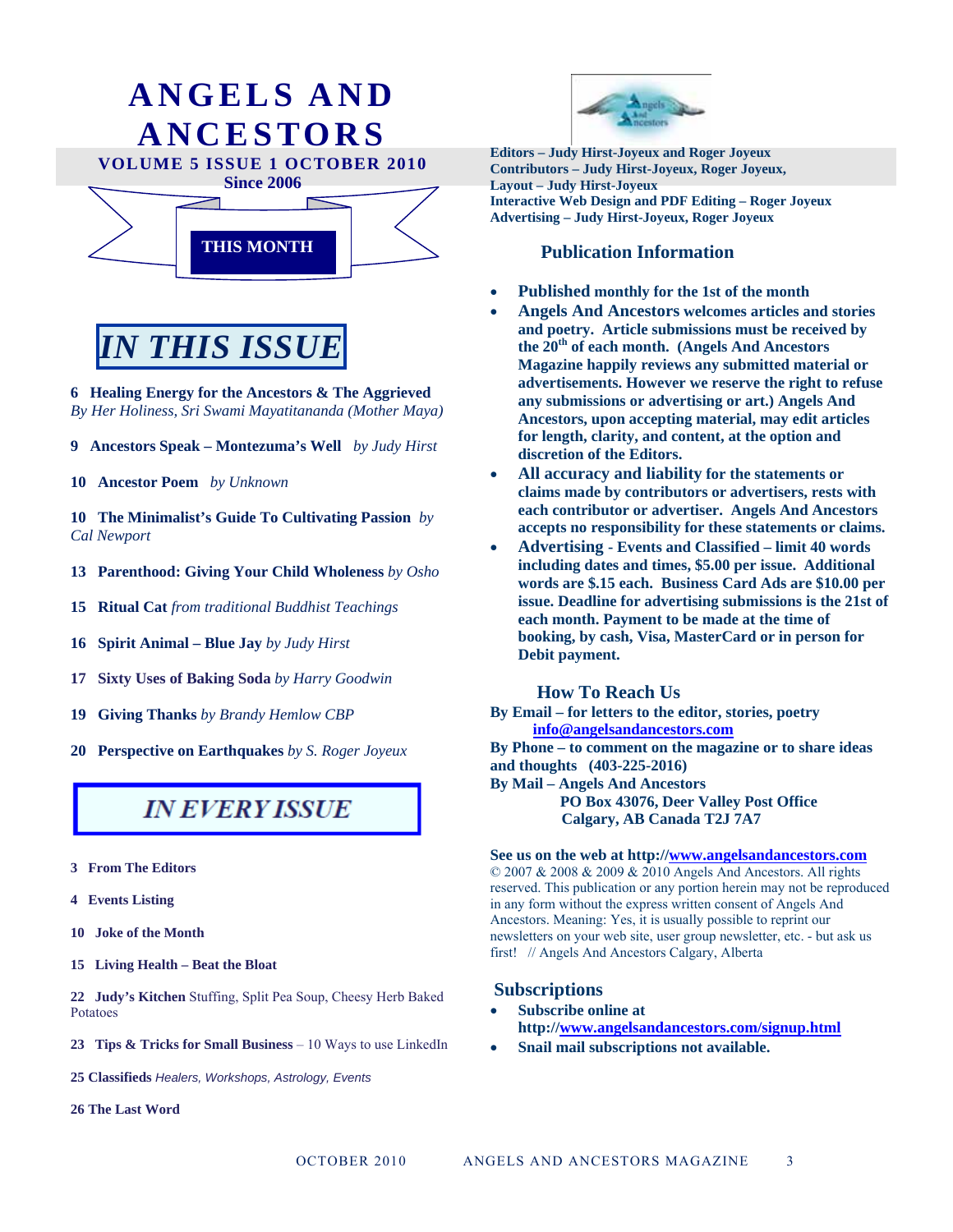

# *IN THIS ISSUE*

**6 Healing Energy for the Ancestors & The Aggrieved**  *By Her Holiness, Sri Swami Mayatitananda (Mother Maya)* 

- **9 Ancestors Speak Montezuma's Well** *by Judy Hirst*
- **10 Ancestor Poem** *by Unknown*

**10****The Minimalist's Guide To Cultivating Passion** *by Cal Newport*

- **13 Parenthood: Giving Your Child Wholeness** *by Osho*
- **15 Ritual Cat** *from traditional Buddhist Teachings*
- **16 Spirit Animal Blue Jay** *by Judy Hirst*
- **17 Sixty Uses of Baking Soda** *by Harry Goodwin*
- **19 Giving Thanks** *by Brandy Hemlow CBP*
- **20 Perspective on Earthquakes** *by S. Roger Joyeux*

## **IN EVERY ISSUE**

- **3 From The Editors**
- **4 Events Listing**
- **10 Joke of the Month**
- **15 Living Health Beat the Bloat**

**22 Judy's Kitchen** Stuffing, Split Pea Soup, Cheesy Herb Baked Potatoes

**23 Tips & Tricks for Small Business** – 10 Ways to use LinkedIn

**25 Classifieds** *Healers, Workshops, Astrology, Events* 

**26 The Last Word** 



**Contributors – Judy Hirst-Joyeux, Roger Joyeux, Layout – Judy Hirst-Joyeux Interactive Web Design and PDF Editing – Roger Joyeux Advertising – Judy Hirst-Joyeux, Roger Joyeux** 

#### **Publication Information**

- **Published monthly for the 1st of the month**
- **Angels And Ancestors welcomes articles and stories and poetry. Article submissions must be received by the 20th of each month. (Angels And Ancestors Magazine happily reviews any submitted material or advertisements. However we reserve the right to refuse any submissions or advertising or art.) Angels And Ancestors, upon accepting material, may edit articles for length, clarity, and content, at the option and discretion of the Editors.**
- **All accuracy and liability for the statements or claims made by contributors or advertisers, rests with each contributor or advertiser. Angels And Ancestors accepts no responsibility for these statements or claims.**
- **Advertising Events and Classified limit 40 words including dates and times, \$5.00 per issue. Additional words are \$.15 each. Business Card Ads are \$10.00 per issue. Deadline for advertising submissions is the 21st of each month. Payment to be made at the time of booking, by cash, Visa, MasterCard or in person for Debit payment.**

 **How To Reach Us** 

**By Email – for letters to the editor, stories, poetry info@angelsandancestors.com By Phone – to comment on the magazine or to share ideas and thoughts (403-225-2016)** 

**By Mail – Angels And Ancestors** 

 **PO Box 43076, Deer Valley Post Office Calgary, AB Canada T2J 7A7** 

#### **See us on the web at http://www.angelsandancestors.com**

© 2007 & 2008 & 2009 & 2010 Angels And Ancestors. All rights reserved. This publication or any portion herein may not be reproduced in any form without the express written consent of Angels And Ancestors. Meaning: Yes, it is usually possible to reprint our newsletters on your web site, user group newsletter, etc. - but ask us first! // Angels And Ancestors Calgary, Alberta

#### **Subscriptions**

- **Subscribe online at http://www.angelsandancestors.com/signup.html**
- **Snail mail subscriptions not available.**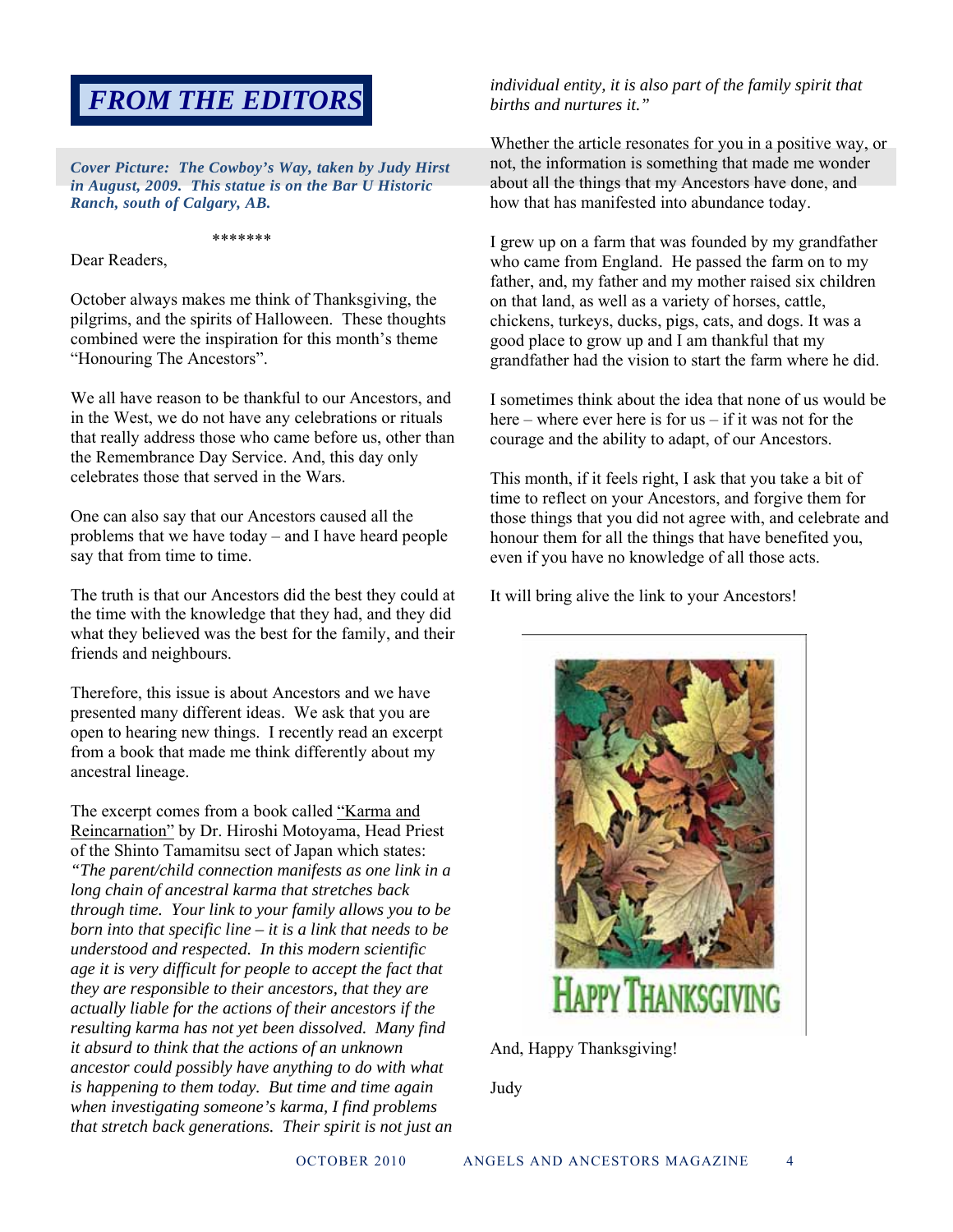## *FROM THE EDITORS*

*Cover Picture: The Cowboy's Way, taken by Judy Hirst in August, 2009. This statue is on the Bar U Historic Ranch, south of Calgary, AB.* 

#### \*\*\*\*\*\*\*

Dear Readers,

October always makes me think of Thanksgiving, the pilgrims, and the spirits of Halloween. These thoughts combined were the inspiration for this month's theme "Honouring The Ancestors".

We all have reason to be thankful to our Ancestors, and in the West, we do not have any celebrations or rituals that really address those who came before us, other than the Remembrance Day Service. And, this day only celebrates those that served in the Wars.

One can also say that our Ancestors caused all the problems that we have today – and I have heard people say that from time to time.

The truth is that our Ancestors did the best they could at the time with the knowledge that they had, and they did what they believed was the best for the family, and their friends and neighbours.

Therefore, this issue is about Ancestors and we have presented many different ideas. We ask that you are open to hearing new things. I recently read an excerpt from a book that made me think differently about my ancestral lineage.

The excerpt comes from a book called "Karma and Reincarnation" by Dr. Hiroshi Motoyama, Head Priest of the Shinto Tamamitsu sect of Japan which states: *"The parent/child connection manifests as one link in a long chain of ancestral karma that stretches back through time. Your link to your family allows you to be born into that specific line – it is a link that needs to be understood and respected. In this modern scientific age it is very difficult for people to accept the fact that they are responsible to their ancestors, that they are actually liable for the actions of their ancestors if the resulting karma has not yet been dissolved. Many find it absurd to think that the actions of an unknown ancestor could possibly have anything to do with what is happening to them today. But time and time again when investigating someone's karma, I find problems that stretch back generations. Their spirit is not just an*  *individual entity, it is also part of the family spirit that births and nurtures it."*

Whether the article resonates for you in a positive way, or not, the information is something that made me wonder about all the things that my Ancestors have done, and how that has manifested into abundance today.

I grew up on a farm that was founded by my grandfather who came from England. He passed the farm on to my father, and, my father and my mother raised six children on that land, as well as a variety of horses, cattle, chickens, turkeys, ducks, pigs, cats, and dogs. It was a good place to grow up and I am thankful that my grandfather had the vision to start the farm where he did.

I sometimes think about the idea that none of us would be here – where ever here is for us – if it was not for the courage and the ability to adapt, of our Ancestors.

This month, if it feels right, I ask that you take a bit of time to reflect on your Ancestors, and forgive them for those things that you did not agree with, and celebrate and honour them for all the things that have benefited you, even if you have no knowledge of all those acts.

It will bring alive the link to your Ancestors!



And, Happy Thanksgiving!

Judy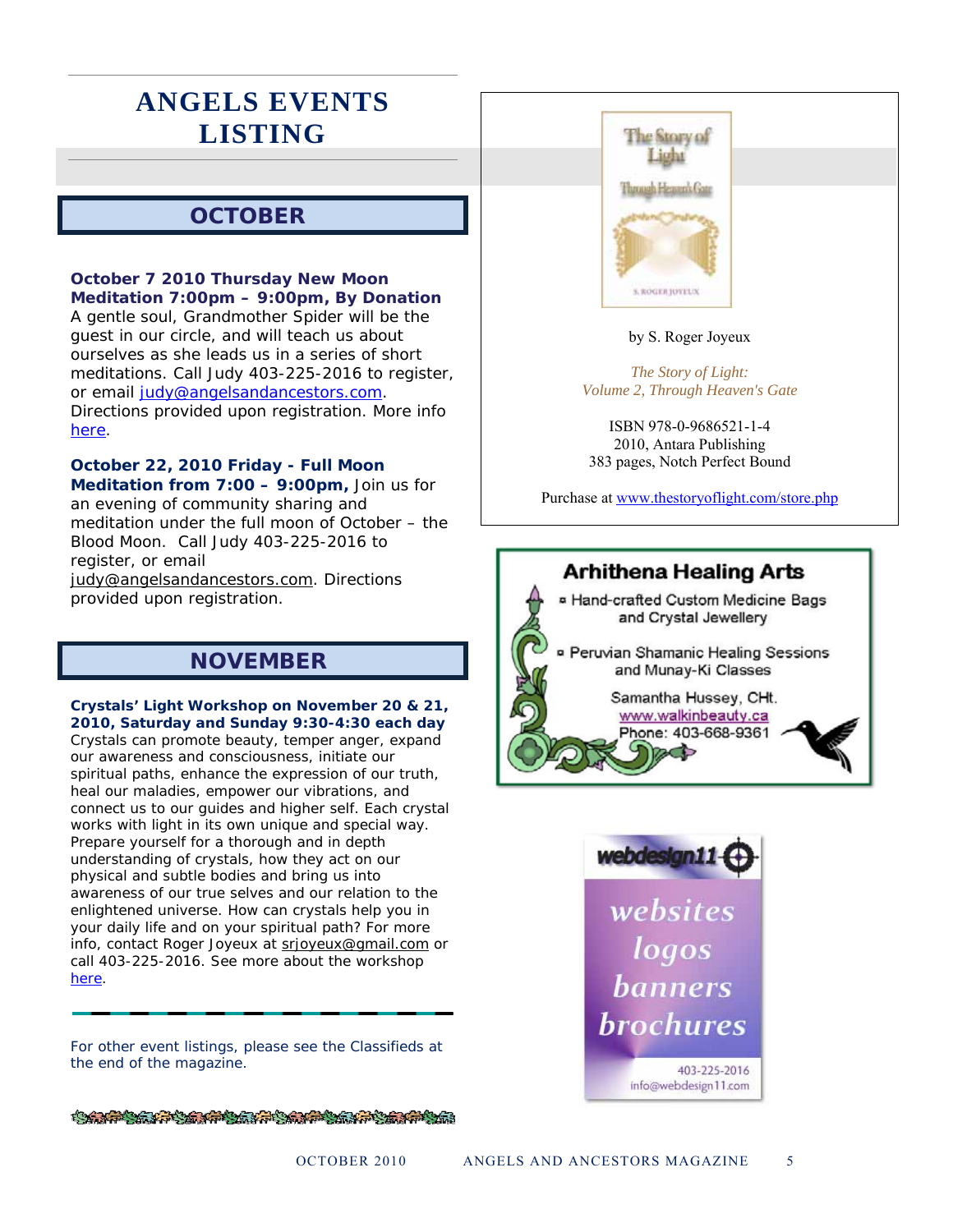## **ANGELS EVENTS LISTING**

### **OCTOBER**

#### **October 7 2010 Thursday New Moon Meditation 7:00pm – 9:00pm, By Donation**

A gentle soul, Grandmother Spider will be the guest in our circle, and will teach us about ourselves as she leads us in a series of short meditations. Call Judy 403-225-2016 to register, or email judy@angelsandancestors.com. Directions provided upon registration. More info here.

#### **October 22, 2010 Friday - Full Moon**

**Meditation from 7:00 – 9:00pm,** Join us for an evening of community sharing and meditation under the full moon of October – the Blood Moon. Call Judy 403-225-2016 to register, or email

judy@angelsandancestors.com. Directions provided upon registration.

### **NOVEMBER**

#### **Crystals' Light Workshop on November 20 & 21, 2010, Saturday and Sunday 9:30-4:30 each day**  Crystals can promote beauty, temper anger, expand

our awareness and consciousness, initiate our spiritual paths, enhance the expression of our truth, heal our maladies, empower our vibrations, and connect us to our guides and higher self. Each crystal works with light in its own unique and special way. Prepare yourself for a thorough and in depth understanding of crystals, how they act on our physical and subtle bodies and bring us into awareness of our true selves and our relation to the enlightened universe. How can crystals help you in your daily life and on your spiritual path? For more info, contact Roger Joyeux at [srjoyeux@gmail.com](mailto:srjoyeux@gmail.com) or call 403-225-2016. See more about the workshop [here.](http://angelsandancestors.com/workshop.html#crystal)

For other event listings, please see the Classifieds at the end of the magazine.



#### by S. Roger Joyeux

*The Story of Light: Volume 2, Through Heaven's Gate*

ISBN 978-0-9686521-1-4 2010, Antara Publishing 383 pages, Notch Perfect Bound

Purchase at www.thestoryoflight.com/store.php





**CARD CONTRACTOR AND ARRAY AND ARRAY ARRAY ARRAY ARRAY ARRAY ARRAY ARRAY ARRAY ARRAY ARRAY ARRAY ARRAY ARRAY ARR**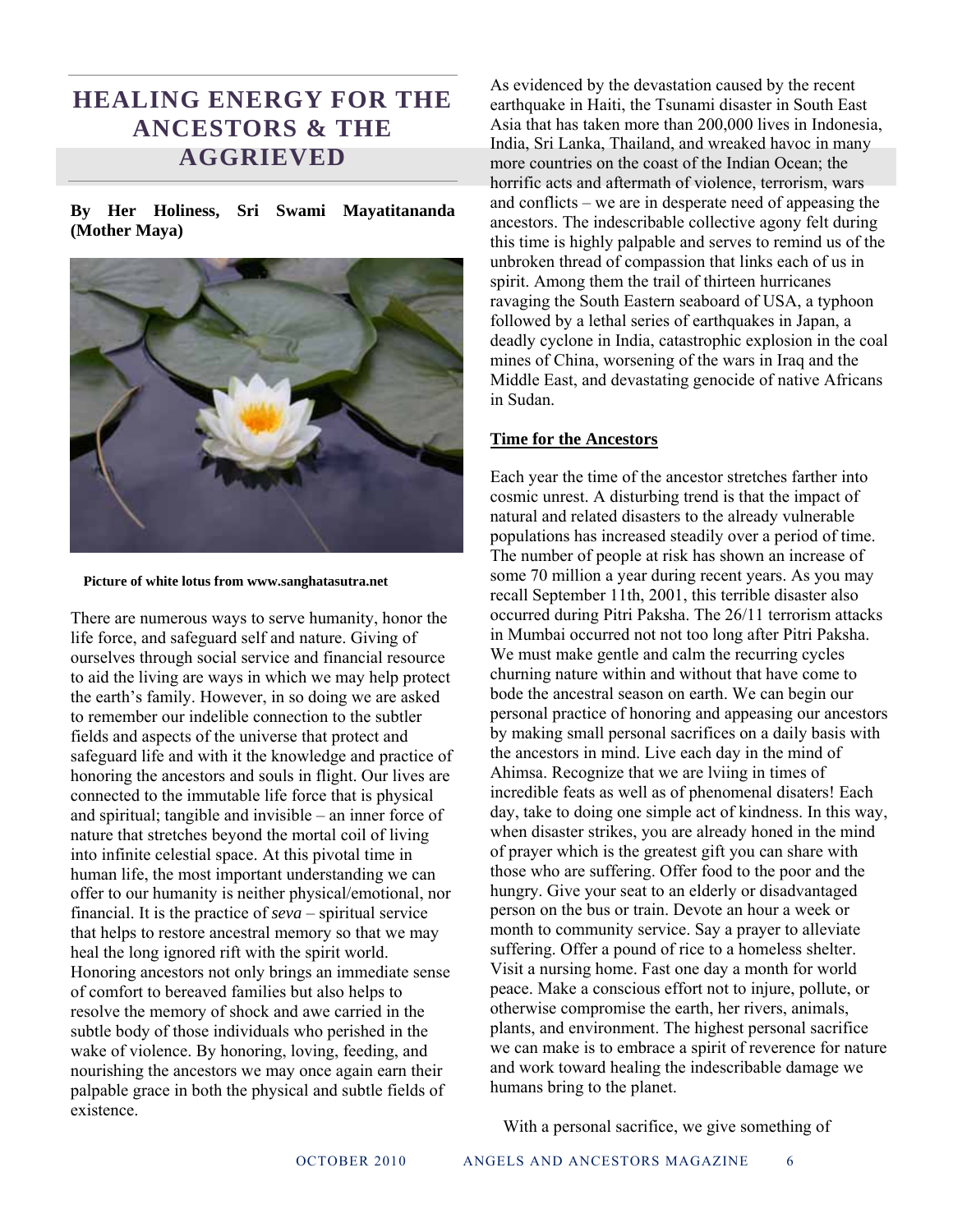### **HEALING ENERGY FOR THE ANCESTORS & THE AGGRIEVED**

**By Her Holiness, Sri Swami Mayatitananda (Mother Maya)** 



 **Picture of white lotus from www.sanghatasutra.net** 

There are numerous ways to serve humanity, honor the life force, and safeguard self and nature. Giving of ourselves through social service and financial resource to aid the living are ways in which we may help protect the earth's family. However, in so doing we are asked to remember our indelible connection to the subtler fields and aspects of the universe that protect and safeguard life and with it the knowledge and practice of honoring the ancestors and souls in flight. Our lives are connected to the immutable life force that is physical and spiritual; tangible and invisible – an inner force of nature that stretches beyond the mortal coil of living into infinite celestial space. At this pivotal time in human life, the most important understanding we can offer to our humanity is neither physical/emotional, nor financial. It is the practice of *seva* – spiritual service that helps to restore ancestral memory so that we may heal the long ignored rift with the spirit world. Honoring ancestors not only brings an immediate sense of comfort to bereaved families but also helps to resolve the memory of shock and awe carried in the subtle body of those individuals who perished in the wake of violence. By honoring, loving, feeding, and nourishing the ancestors we may once again earn their palpable grace in both the physical and subtle fields of existence.

As evidenced by the devastation caused by the recent earthquake in Haiti, the Tsunami disaster in South East Asia that has taken more than 200,000 lives in Indonesia, India, Sri Lanka, Thailand, and wreaked havoc in many more countries on the coast of the Indian Ocean; the horrific acts and aftermath of violence, terrorism, wars and conflicts – we are in desperate need of appeasing the ancestors. The indescribable collective agony felt during this time is highly palpable and serves to remind us of the unbroken thread of compassion that links each of us in spirit. Among them the trail of thirteen hurricanes ravaging the South Eastern seaboard of USA, a typhoon followed by a lethal series of earthquakes in Japan, a deadly cyclone in India, catastrophic explosion in the coal mines of China, worsening of the wars in Iraq and the Middle East, and devastating genocide of native Africans in Sudan.

#### **Time for the Ancestors**

Each year the time of the ancestor stretches farther into cosmic unrest. A disturbing trend is that the impact of natural and related disasters to the already vulnerable populations has increased steadily over a period of time. The number of people at risk has shown an increase of some 70 million a year during recent years. As you may recall September 11th, 2001, this terrible disaster also occurred during Pitri Paksha. The 26/11 terrorism attacks in Mumbai occurred not not too long after Pitri Paksha. We must make gentle and calm the recurring cycles churning nature within and without that have come to bode the ancestral season on earth. We can begin our personal practice of honoring and appeasing our ancestors by making small personal sacrifices on a daily basis with the ancestors in mind. Live each day in the mind of Ahimsa. Recognize that we are lviing in times of incredible feats as well as of phenomenal disaters! Each day, take to doing one simple act of kindness. In this way, when disaster strikes, you are already honed in the mind of prayer which is the greatest gift you can share with those who are suffering. Offer food to the poor and the hungry. Give your seat to an elderly or disadvantaged person on the bus or train. Devote an hour a week or month to community service. Say a prayer to alleviate suffering. Offer a pound of rice to a homeless shelter. Visit a nursing home. Fast one day a month for world peace. Make a conscious effort not to injure, pollute, or otherwise compromise the earth, her rivers, animals, plants, and environment. The highest personal sacrifice we can make is to embrace a spirit of reverence for nature and work toward healing the indescribable damage we humans bring to the planet.

With a personal sacrifice, we give something of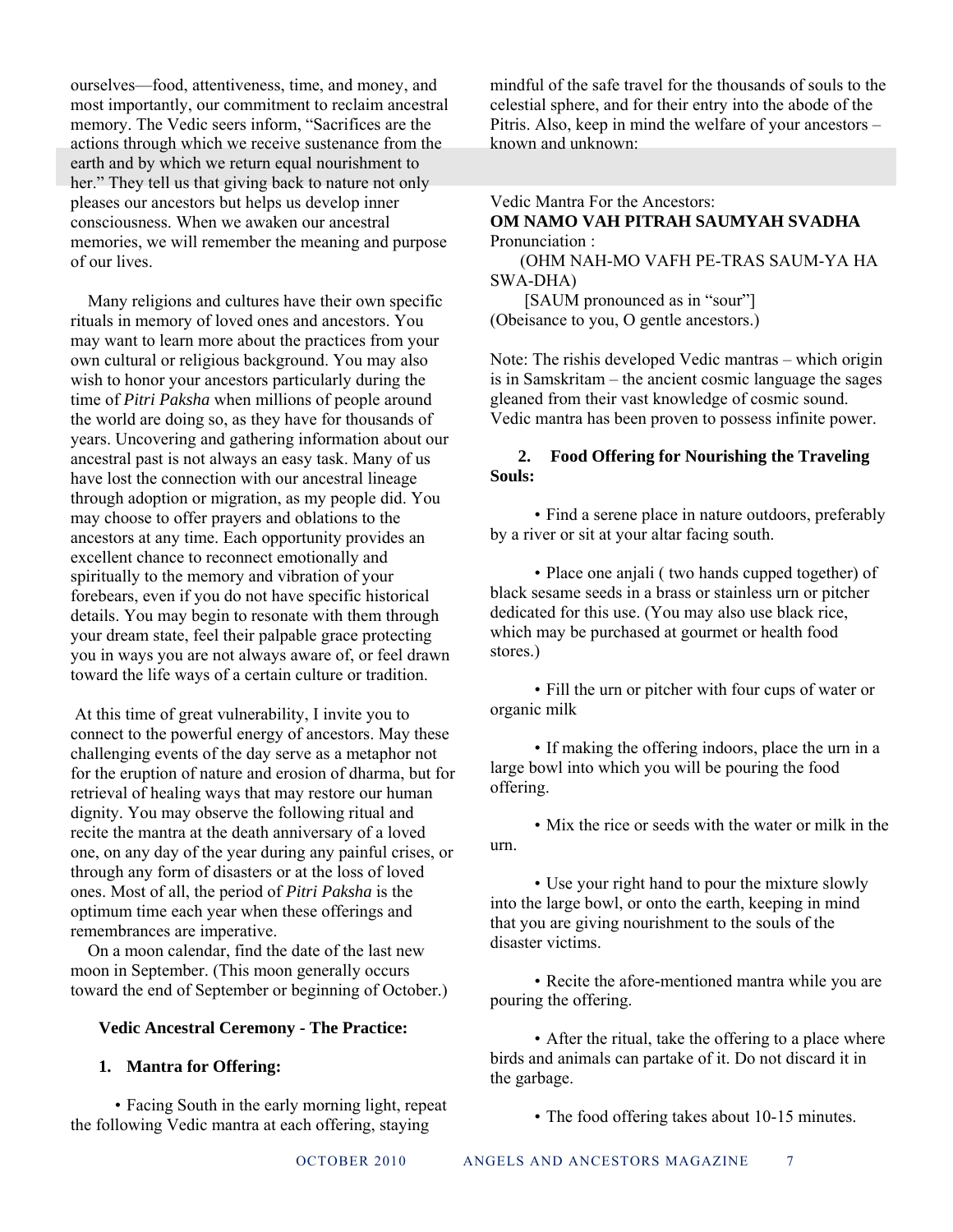ourselves—food, attentiveness, time, and money, and most importantly, our commitment to reclaim ancestral memory. The Vedic seers inform, "Sacrifices are the actions through which we receive sustenance from the earth and by which we return equal nourishment to her." They tell us that giving back to nature not only pleases our ancestors but helps us develop inner consciousness. When we awaken our ancestral memories, we will remember the meaning and purpose of our lives.

 Many religions and cultures have their own specific rituals in memory of loved ones and ancestors. You may want to learn more about the practices from your own cultural or religious background. You may also wish to honor your ancestors particularly during the time of *Pitri Paksha* when millions of people around the world are doing so, as they have for thousands of years. Uncovering and gathering information about our ancestral past is not always an easy task. Many of us have lost the connection with our ancestral lineage through adoption or migration, as my people did. You may choose to offer prayers and oblations to the ancestors at any time. Each opportunity provides an excellent chance to reconnect emotionally and spiritually to the memory and vibration of your forebears, even if you do not have specific historical details. You may begin to resonate with them through your dream state, feel their palpable grace protecting you in ways you are not always aware of, or feel drawn toward the life ways of a certain culture or tradition.

 At this time of great vulnerability, I invite you to connect to the powerful energy of ancestors. May these challenging events of the day serve as a metaphor not for the eruption of nature and erosion of dharma, but for retrieval of healing ways that may restore our human dignity. You may observe the following ritual and recite the mantra at the death anniversary of a loved one, on any day of the year during any painful crises, or through any form of disasters or at the loss of loved ones. Most of all, the period of *Pitri Paksha* is the optimum time each year when these offerings and remembrances are imperative.

 On a moon calendar, find the date of the last new moon in September. (This moon generally occurs toward the end of September or beginning of October.)

#### **Vedic Ancestral Ceremony - The Practice:**

#### **1. Mantra for Offering:**

 • Facing South in the early morning light, repeat the following Vedic mantra at each offering, staying

mindful of the safe travel for the thousands of souls to the celestial sphere, and for their entry into the abode of the Pitris. Also, keep in mind the welfare of your ancestors – known and unknown:

#### Vedic Mantra For the Ancestors: **OM NAMO VAH PITRAH SAUMYAH SVADHA** Pronunciation :

 (OHM NAH-MO VAFH PE-TRAS SAUM-YA HA SWA-DHA)

[SAUM pronounced as in "sour"] (Obeisance to you, O gentle ancestors.)

Note: The rishis developed Vedic mantras – which origin is in Samskritam – the ancient cosmic language the sages gleaned from their vast knowledge of cosmic sound. Vedic mantra has been proven to possess infinite power.

#### **2. Food Offering for Nourishing the Traveling Souls:**

 • Find a serene place in nature outdoors, preferably by a river or sit at your altar facing south.

 • Place one anjali ( two hands cupped together) of black sesame seeds in a brass or stainless urn or pitcher dedicated for this use. (You may also use black rice, which may be purchased at gourmet or health food stores.)

 • Fill the urn or pitcher with four cups of water or organic milk

 • If making the offering indoors, place the urn in a large bowl into which you will be pouring the food offering.

 • Mix the rice or seeds with the water or milk in the urn.

 • Use your right hand to pour the mixture slowly into the large bowl, or onto the earth, keeping in mind that you are giving nourishment to the souls of the disaster victims.

 • Recite the afore-mentioned mantra while you are pouring the offering.

 • After the ritual, take the offering to a place where birds and animals can partake of it. Do not discard it in the garbage.

• The food offering takes about 10-15 minutes.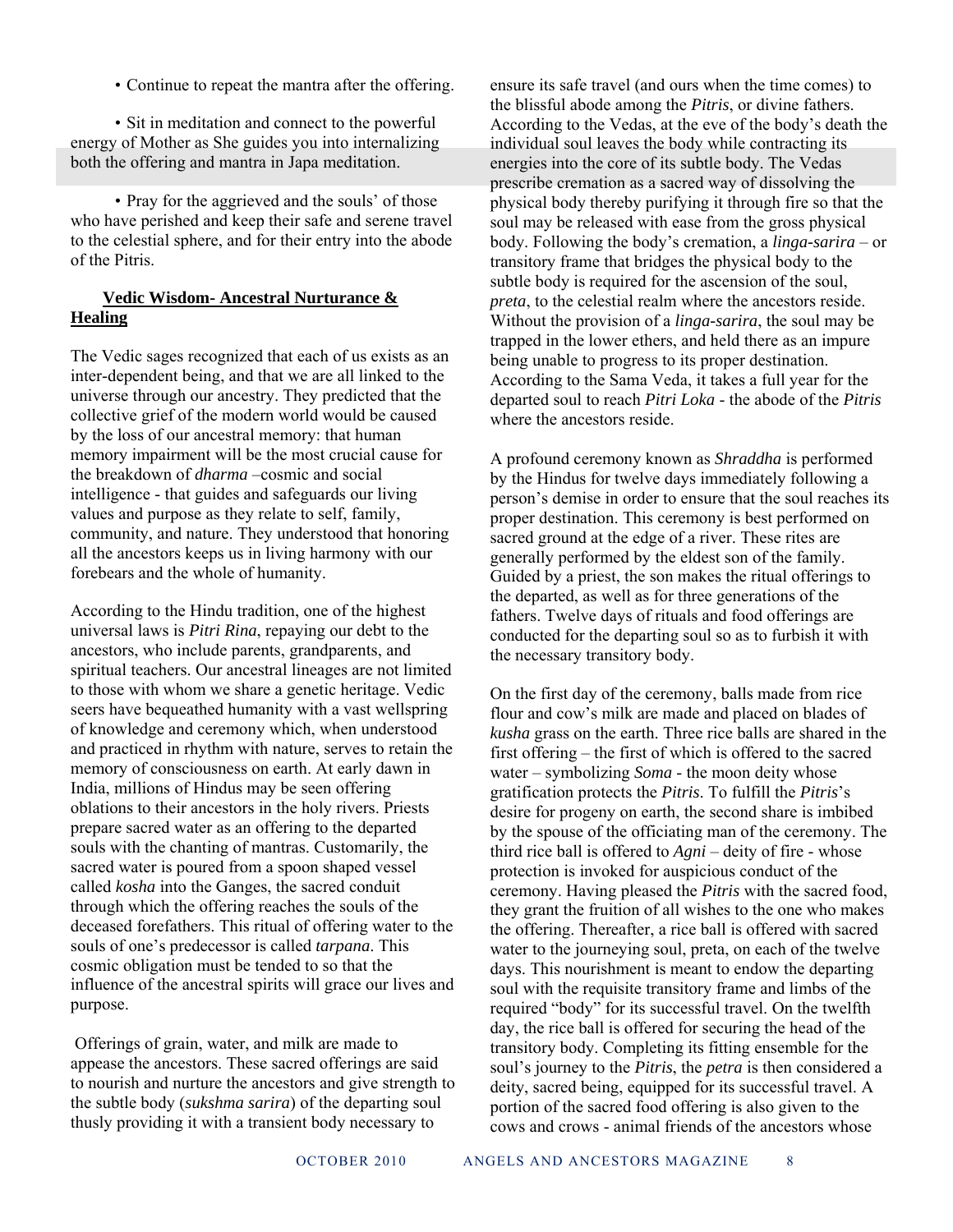• Continue to repeat the mantra after the offering.

• Sit in meditation and connect to the powerful energy of Mother as She guides you into internalizing both the offering and mantra in Japa meditation.

 • Pray for the aggrieved and the souls' of those who have perished and keep their safe and serene travel to the celestial sphere, and for their entry into the abode of the Pitris.

#### **Vedic Wisdom- Ancestral Nurturance & Healing**

The Vedic sages recognized that each of us exists as an inter-dependent being, and that we are all linked to the universe through our ancestry. They predicted that the collective grief of the modern world would be caused by the loss of our ancestral memory: that human memory impairment will be the most crucial cause for the breakdown of *dharma* –cosmic and social intelligence - that guides and safeguards our living values and purpose as they relate to self, family, community, and nature. They understood that honoring all the ancestors keeps us in living harmony with our forebears and the whole of humanity.

According to the Hindu tradition, one of the highest universal laws is *Pitri Rina*, repaying our debt to the ancestors, who include parents, grandparents, and spiritual teachers. Our ancestral lineages are not limited to those with whom we share a genetic heritage. Vedic seers have bequeathed humanity with a vast wellspring of knowledge and ceremony which, when understood and practiced in rhythm with nature, serves to retain the memory of consciousness on earth. At early dawn in India, millions of Hindus may be seen offering oblations to their ancestors in the holy rivers. Priests prepare sacred water as an offering to the departed souls with the chanting of mantras. Customarily, the sacred water is poured from a spoon shaped vessel called *kosha* into the Ganges, the sacred conduit through which the offering reaches the souls of the deceased forefathers. This ritual of offering water to the souls of one's predecessor is called *tarpana*. This cosmic obligation must be tended to so that the influence of the ancestral spirits will grace our lives and purpose.

 Offerings of grain, water, and milk are made to appease the ancestors. These sacred offerings are said to nourish and nurture the ancestors and give strength to the subtle body (*sukshma sarira*) of the departing soul thusly providing it with a transient body necessary to

ensure its safe travel (and ours when the time comes) to the blissful abode among the *Pitris*, or divine fathers. According to the Vedas, at the eve of the body's death the individual soul leaves the body while contracting its energies into the core of its subtle body. The Vedas prescribe cremation as a sacred way of dissolving the physical body thereby purifying it through fire so that the soul may be released with ease from the gross physical body. Following the body's cremation, a *linga-sarira* – or transitory frame that bridges the physical body to the subtle body is required for the ascension of the soul, *preta*, to the celestial realm where the ancestors reside. Without the provision of a *linga-sarira*, the soul may be trapped in the lower ethers, and held there as an impure being unable to progress to its proper destination. According to the Sama Veda, it takes a full year for the departed soul to reach *Pitri Loka* - the abode of the *Pitris* where the ancestors reside.

A profound ceremony known as *Shraddha* is performed by the Hindus for twelve days immediately following a person's demise in order to ensure that the soul reaches its proper destination. This ceremony is best performed on sacred ground at the edge of a river. These rites are generally performed by the eldest son of the family. Guided by a priest, the son makes the ritual offerings to the departed, as well as for three generations of the fathers. Twelve days of rituals and food offerings are conducted for the departing soul so as to furbish it with the necessary transitory body.

On the first day of the ceremony, balls made from rice flour and cow's milk are made and placed on blades of *kusha* grass on the earth. Three rice balls are shared in the first offering – the first of which is offered to the sacred water – symbolizing *Soma* - the moon deity whose gratification protects the *Pitris*. To fulfill the *Pitris*'s desire for progeny on earth, the second share is imbibed by the spouse of the officiating man of the ceremony. The third rice ball is offered to *Agni* – deity of fire - whose protection is invoked for auspicious conduct of the ceremony. Having pleased the *Pitris* with the sacred food, they grant the fruition of all wishes to the one who makes the offering. Thereafter, a rice ball is offered with sacred water to the journeying soul, preta, on each of the twelve days. This nourishment is meant to endow the departing soul with the requisite transitory frame and limbs of the required "body" for its successful travel. On the twelfth day, the rice ball is offered for securing the head of the transitory body. Completing its fitting ensemble for the soul's journey to the *Pitris*, the *petra* is then considered a deity, sacred being, equipped for its successful travel. A portion of the sacred food offering is also given to the cows and crows - animal friends of the ancestors whose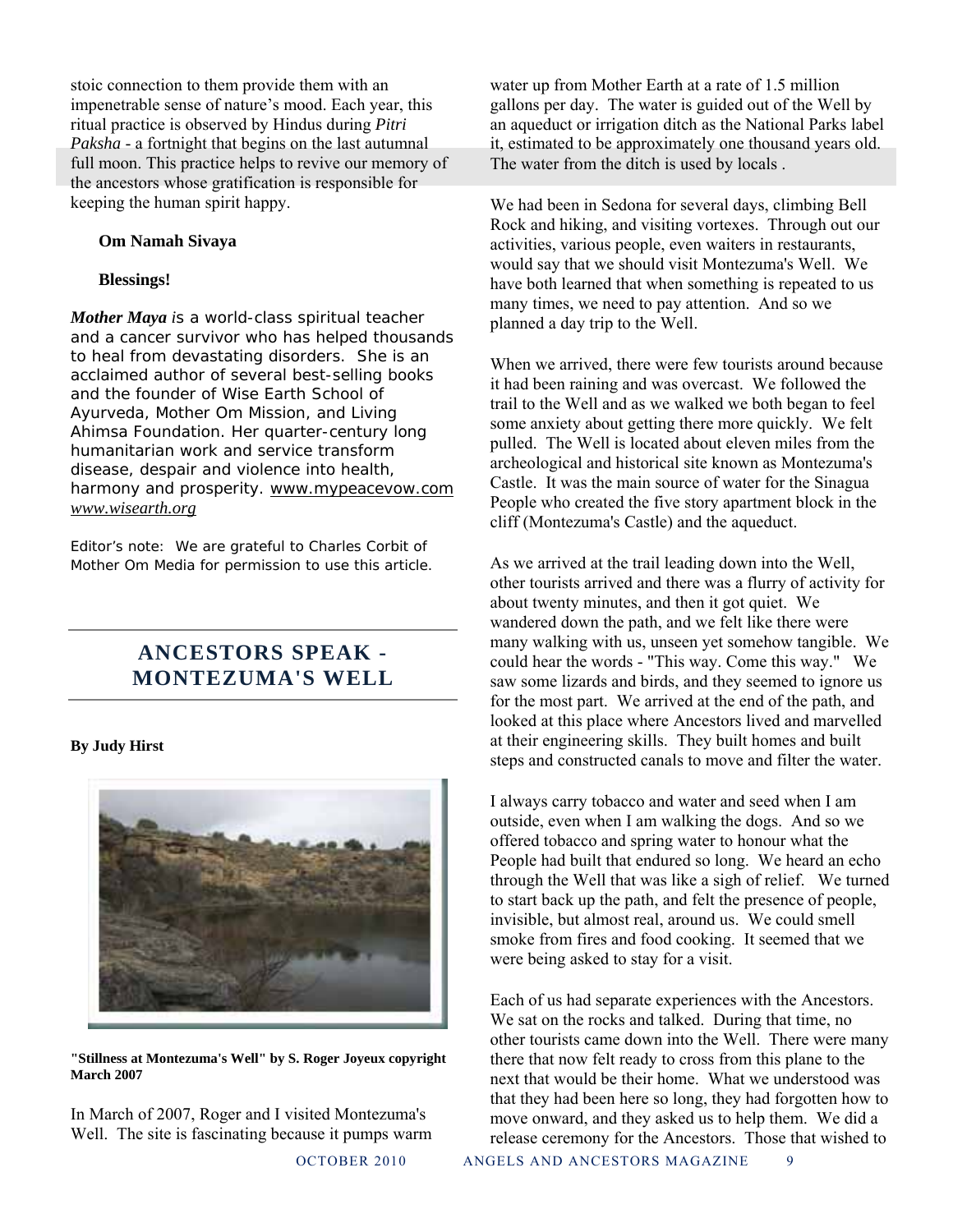stoic connection to them provide them with an impenetrable sense of nature's mood. Each year, this ritual practice is observed by Hindus during *Pitri Paksha* - a fortnight that begins on the last autumnal full moon. This practice helps to revive our memory of the ancestors whose gratification is responsible for keeping the human spirit happy.

#### **Om Namah Sivaya**

#### **Blessings!**

*Mother Maya is a world-class spiritual teacher and a cancer survivor who has helped thousands to heal from devastating disorders. She is an acclaimed author of several best-selling books and the founder of Wise Earth School of Ayurveda, Mother Om Mission, and Living Ahimsa Foundation. Her quarter-century long humanitarian work and service transform disease, despair and violence into health, harmony and prosperity. www.mypeacevow.com www.wisearth.org* 

*Editor's note: We are grateful to Charles Corbit of Mother Om Media for permission to use this article.* 

### **ANCESTORS SPEAK - MONTEZUMA'S WELL**

#### **By Judy Hirst**



**"Stillness at Montezuma's Well" by S. Roger Joyeux copyright March 2007** 

In March of 2007, Roger and I visited Montezuma's Well. The site is fascinating because it pumps warm water up from Mother Earth at a rate of 1.5 million gallons per day. The water is guided out of the Well by an aqueduct or irrigation ditch as the National Parks label it, estimated to be approximately one thousand years old. The water from the ditch is used by locals .

We had been in Sedona for several days, climbing Bell Rock and hiking, and visiting vortexes. Through out our activities, various people, even waiters in restaurants, would say that we should visit Montezuma's Well. We have both learned that when something is repeated to us many times, we need to pay attention. And so we planned a day trip to the Well.

When we arrived, there were few tourists around because it had been raining and was overcast. We followed the trail to the Well and as we walked we both began to feel some anxiety about getting there more quickly. We felt pulled. The Well is located about eleven miles from the archeological and historical site known as Montezuma's Castle. It was the main source of water for the Sinagua People who created the five story apartment block in the cliff (Montezuma's Castle) and the aqueduct.

As we arrived at the trail leading down into the Well, other tourists arrived and there was a flurry of activity for about twenty minutes, and then it got quiet. We wandered down the path, and we felt like there were many walking with us, unseen yet somehow tangible. We could hear the words - "This way. Come this way." We saw some lizards and birds, and they seemed to ignore us for the most part. We arrived at the end of the path, and looked at this place where Ancestors lived and marvelled at their engineering skills. They built homes and built steps and constructed canals to move and filter the water.

I always carry tobacco and water and seed when I am outside, even when I am walking the dogs. And so we offered tobacco and spring water to honour what the People had built that endured so long. We heard an echo through the Well that was like a sigh of relief. We turned to start back up the path, and felt the presence of people, invisible, but almost real, around us. We could smell smoke from fires and food cooking. It seemed that we were being asked to stay for a visit.

Each of us had separate experiences with the Ancestors. We sat on the rocks and talked. During that time, no other tourists came down into the Well. There were many there that now felt ready to cross from this plane to the next that would be their home. What we understood was that they had been here so long, they had forgotten how to move onward, and they asked us to help them. We did a release ceremony for the Ancestors. Those that wished to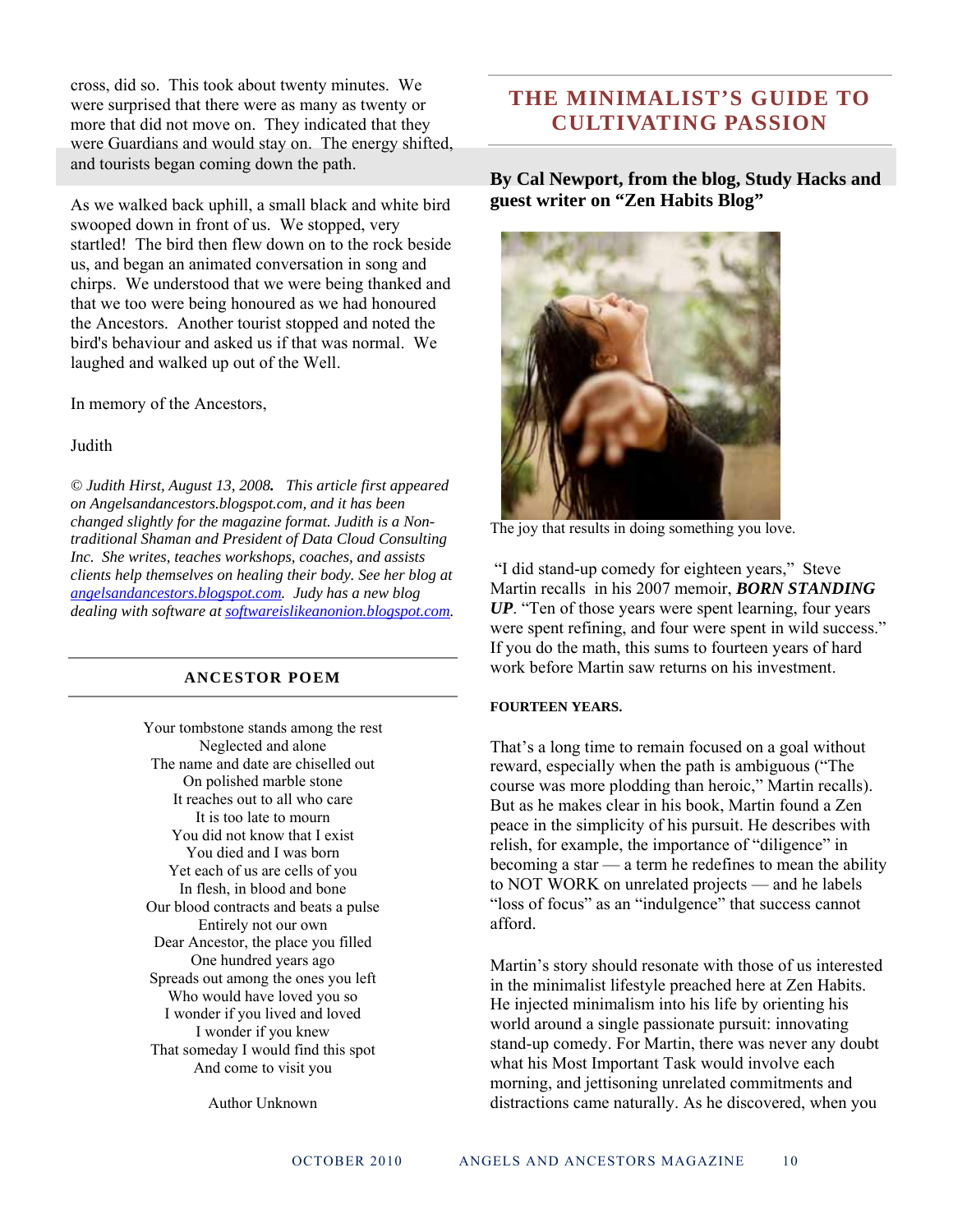cross, did so. This took about twenty minutes. We were surprised that there were as many as twenty or more that did not move on. They indicated that they were Guardians and would stay on. The energy shifted, and tourists began coming down the path.

As we walked back uphill, a small black and white bird swooped down in front of us. We stopped, very startled! The bird then flew down on to the rock beside us, and began an animated conversation in song and chirps. We understood that we were being thanked and that we too were being honoured as we had honoured the Ancestors. Another tourist stopped and noted the bird's behaviour and asked us if that was normal. We laughed and walked up out of the Well.

In memory of the Ancestors,

#### **Judith**

*© Judith Hirst, August 13, 2008. This article first appeared on Angelsandancestors.blogspot.com, and it has been changed slightly for the magazine format. Judith is a Nontraditional Shaman and President of Data Cloud Consulting Inc. She writes, teaches workshops, coaches, and assists clients help themselves on healing their body. See her blog at angelsandancestors.blogspot.com. Judy has a new blog dealing with software at softwareislikeanonion.blogspot.com.*

#### **ANCESTOR POEM**

Your tombstone stands among the rest Neglected and alone The name and date are chiselled out On polished marble stone It reaches out to all who care It is too late to mourn You did not know that I exist You died and I was born Yet each of us are cells of you In flesh, in blood and bone Our blood contracts and beats a pulse Entirely not our own Dear Ancestor, the place you filled One hundred years ago Spreads out among the ones you left Who would have loved you so I wonder if you lived and loved I wonder if you knew That someday I would find this spot And come to visit you

Author Unknown

### **THE MINIMALIST'S GUIDE TO CULTIVATING PASSION**

**By Cal Newport, from the blog, Study Hacks and guest writer on "Zen Habits Blog"** 



The joy that results in doing something you love.

 "I did stand-up comedy for eighteen years," Steve Martin recalls in his 2007 memoir, *BORN STANDING UP*. "Ten of those years were spent learning, four years were spent refining, and four were spent in wild success." If you do the math, this sums to fourteen years of hard work before Martin saw returns on his investment.

#### **FOURTEEN YEARS.**

That's a long time to remain focused on a goal without reward, especially when the path is ambiguous ("The course was more plodding than heroic," Martin recalls). But as he makes clear in his book, Martin found a Zen peace in the simplicity of his pursuit. He describes with relish, for example, the importance of "diligence" in becoming a star — a term he redefines to mean the ability to NOT WORK on unrelated projects — and he labels "loss of focus" as an "indulgence" that success cannot afford.

Martin's story should resonate with those of us interested in the minimalist lifestyle preached here at Zen Habits. He injected minimalism into his life by orienting his world around a single passionate pursuit: innovating stand-up comedy. For Martin, there was never any doubt what his Most Important Task would involve each morning, and jettisoning unrelated commitments and distractions came naturally. As he discovered, when you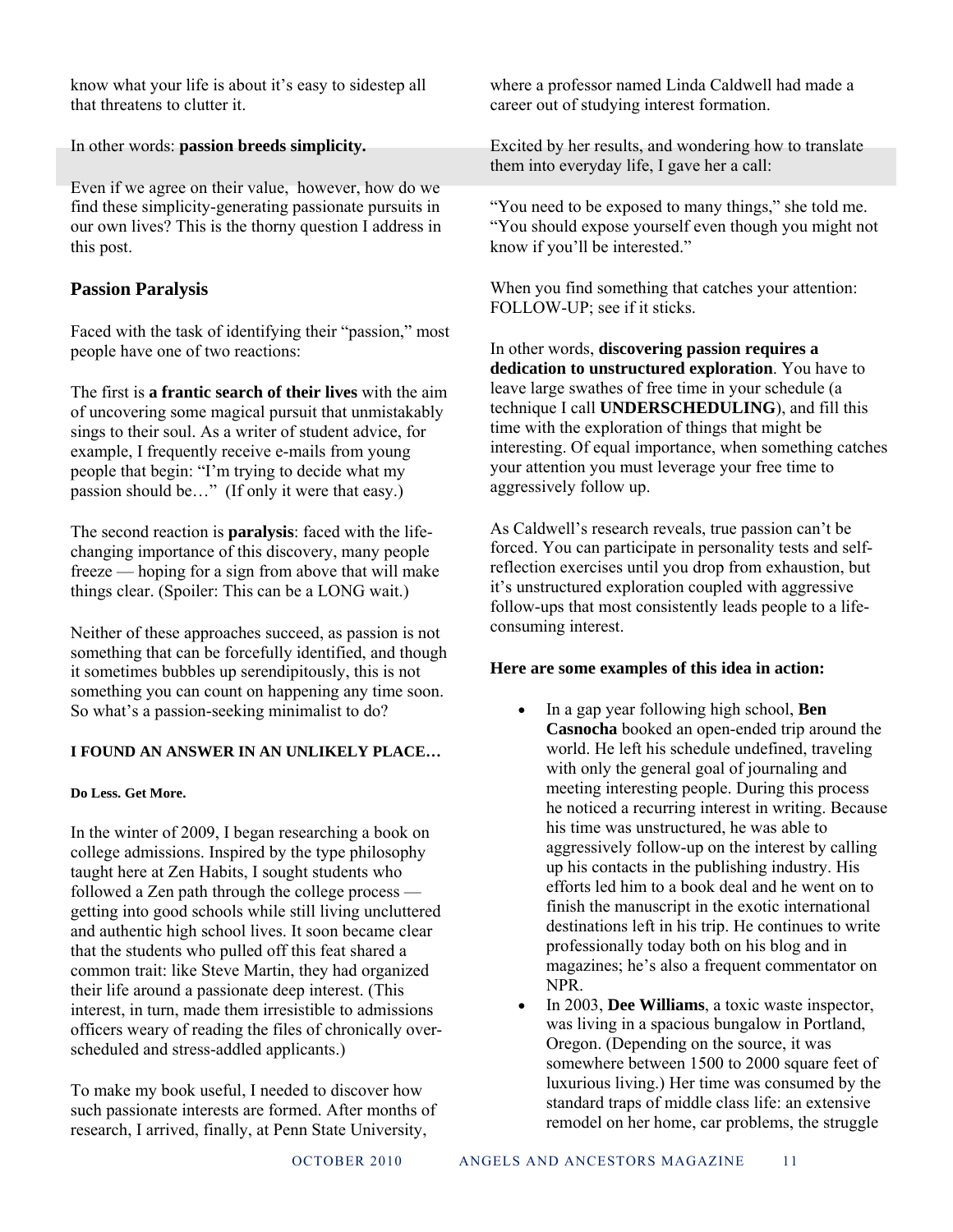know what your life is about it's easy to sidestep all that threatens to clutter it.

In other words: **passion breeds simplicity.**

Even if we agree on their value, however, how do we find these simplicity-generating passionate pursuits in our own lives? This is the thorny question I address in this post.

#### **Passion Paralysis**

Faced with the task of identifying their "passion," most people have one of two reactions:

The first is **a frantic search of their lives** with the aim of uncovering some magical pursuit that unmistakably sings to their soul. As a writer of student advice, for example, I frequently receive e-mails from young people that begin: "I'm trying to decide what my passion should be…" (If only it were that easy.)

The second reaction is **paralysis**: faced with the lifechanging importance of this discovery, many people freeze — hoping for a sign from above that will make things clear. (Spoiler: This can be a LONG wait.)

Neither of these approaches succeed, as passion is not something that can be forcefully identified, and though it sometimes bubbles up serendipitously, this is not something you can count on happening any time soon. So what's a passion-seeking minimalist to do?

#### **I FOUND AN ANSWER IN AN UNLIKELY PLACE…**

#### **Do Less. Get More.**

In the winter of 2009, I began researching a book on college admissions. Inspired by the type philosophy taught here at Zen Habits, I sought students who followed a Zen path through the college process getting into good schools while still living uncluttered and authentic high school lives. It soon became clear that the students who pulled off this feat shared a common trait: like Steve Martin, they had organized their life around a passionate deep interest. (This interest, in turn, made them irresistible to admissions officers weary of reading the files of chronically overscheduled and stress-addled applicants.)

To make my book useful, I needed to discover how such passionate interests are formed. After months of research, I arrived, finally, at Penn State University,

where a professor named Linda Caldwell had made a career out of studying interest formation.

Excited by her results, and wondering how to translate them into everyday life, I gave her a call:

"You need to be exposed to many things," she told me. "You should expose yourself even though you might not know if you'll be interested."

When you find something that catches your attention: FOLLOW-UP; see if it sticks.

In other words, **discovering passion requires a dedication to unstructured exploration**. You have to leave large swathes of free time in your schedule (a technique I call **UNDERSCHEDULING**), and fill this time with the exploration of things that might be interesting. Of equal importance, when something catches your attention you must leverage your free time to aggressively follow up.

As Caldwell's research reveals, true passion can't be forced. You can participate in personality tests and selfreflection exercises until you drop from exhaustion, but it's unstructured exploration coupled with aggressive follow-ups that most consistently leads people to a lifeconsuming interest.

#### **Here are some examples of this idea in action:**

- In a gap year following high school, **Ben Casnocha** booked an open-ended trip around the world. He left his schedule undefined, traveling with only the general goal of journaling and meeting interesting people. During this process he noticed a recurring interest in writing. Because his time was unstructured, he was able to aggressively follow-up on the interest by calling up his contacts in the publishing industry. His efforts led him to a book deal and he went on to finish the manuscript in the exotic international destinations left in his trip. He continues to write professionally today both on his blog and in magazines; he's also a frequent commentator on NPR.
- In 2003, **Dee Williams**, a toxic waste inspector, was living in a spacious bungalow in Portland, Oregon. (Depending on the source, it was somewhere between 1500 to 2000 square feet of luxurious living.) Her time was consumed by the standard traps of middle class life: an extensive remodel on her home, car problems, the struggle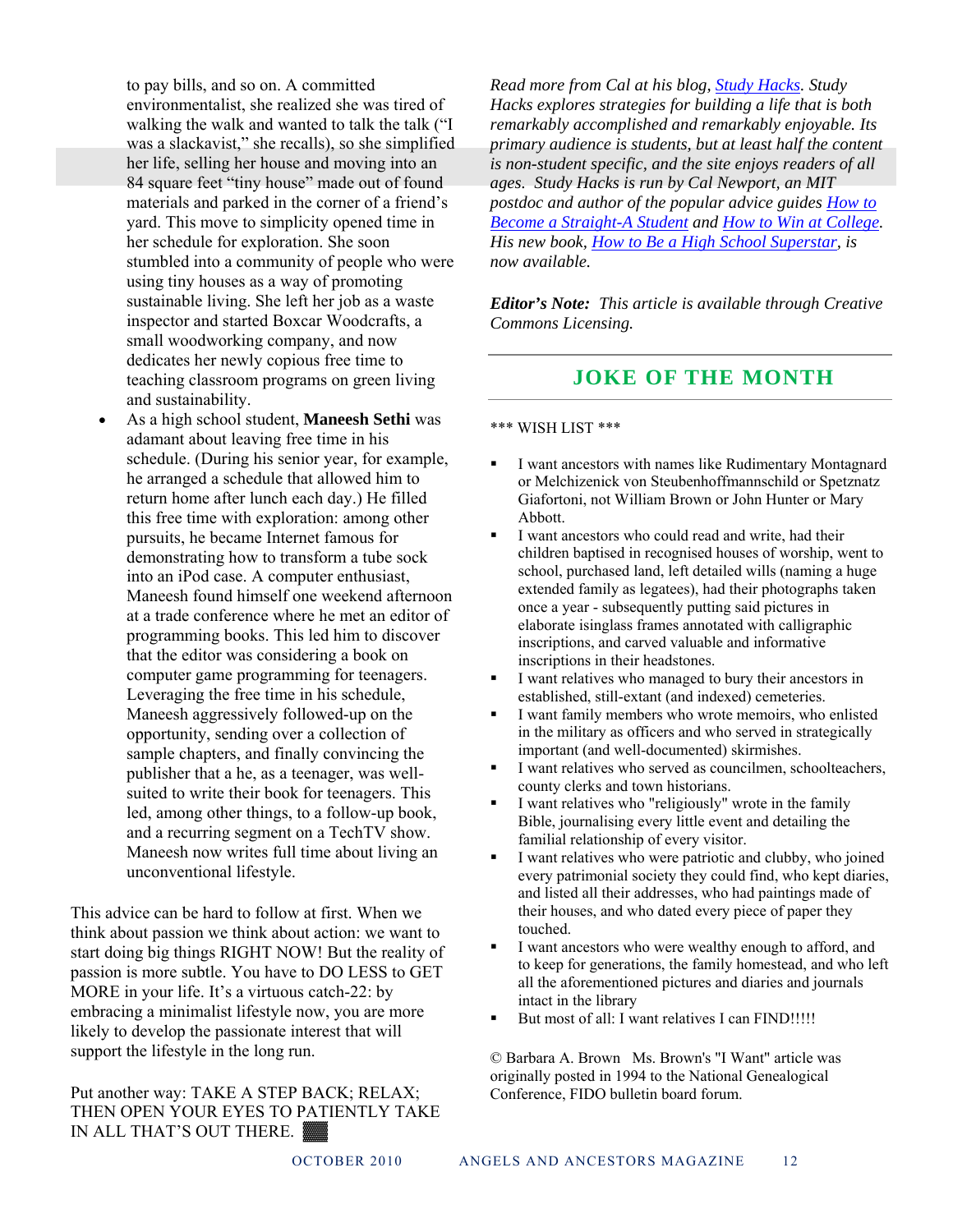to pay bills, and so on. A committed environmentalist, she realized she was tired of walking the walk and wanted to talk the talk ("I was a slackavist," she recalls), so she simplified her life, selling her house and moving into an 84 square feet "tiny house" made out of found materials and parked in the corner of a friend's yard. This move to simplicity opened time in her schedule for exploration. She soon stumbled into a community of people who were using tiny houses as a way of promoting sustainable living. She left her job as a waste inspector and started Boxcar Woodcrafts, a small woodworking company, and now dedicates her newly copious free time to teaching classroom programs on green living and sustainability.

 As a high school student, **Maneesh Sethi** was adamant about leaving free time in his schedule. (During his senior year, for example, he arranged a schedule that allowed him to return home after lunch each day.) He filled this free time with exploration: among other pursuits, he became Internet famous for demonstrating how to transform a tube sock into an iPod case. A computer enthusiast, Maneesh found himself one weekend afternoon at a trade conference where he met an editor of programming books. This led him to discover that the editor was considering a book on computer game programming for teenagers. Leveraging the free time in his schedule, Maneesh aggressively followed-up on the opportunity, sending over a collection of sample chapters, and finally convincing the publisher that a he, as a teenager, was wellsuited to write their book for teenagers. This led, among other things, to a follow-up book, and a recurring segment on a TechTV show. Maneesh now writes full time about living an unconventional lifestyle.

This advice can be hard to follow at first. When we think about passion we think about action: we want to start doing big things RIGHT NOW! But the reality of passion is more subtle. You have to DO LESS to GET MORE in your life. It's a virtuous catch-22: by embracing a minimalist lifestyle now, you are more likely to develop the passionate interest that will support the lifestyle in the long run.

Put another way: TAKE A STEP BACK; RELAX; THEN OPEN YOUR EYES TO PATIENTLY TAKE IN ALL THAT'S OUT THERE.

*Read more from Cal at his blog, Study Hacks. Study Hacks explores strategies for building a life that is both remarkably accomplished and remarkably enjoyable. Its primary audience is students, but at least half the content is non-student specific, and the site enjoys readers of all ages. Study Hacks is run by Cal Newport, an MIT postdoc and author of the popular advice guides How to Become a Straight-A Student and How to Win at College. His new book, How to Be a High School Superstar, is now available.* 

*Editor's Note: This article is available through Creative Commons Licensing.* 

### **JOKE OF THE MONTH**

#### \*\*\* WISH LIST \*\*\*

- I want ancestors with names like Rudimentary Montagnard or Melchizenick von Steubenhoffmannschild or Spetznatz Giafortoni, not William Brown or John Hunter or Mary Abbott.
- I want ancestors who could read and write, had their children baptised in recognised houses of worship, went to school, purchased land, left detailed wills (naming a huge extended family as legatees), had their photographs taken once a year - subsequently putting said pictures in elaborate isinglass frames annotated with calligraphic inscriptions, and carved valuable and informative inscriptions in their headstones.
- I want relatives who managed to bury their ancestors in established, still-extant (and indexed) cemeteries.
- I want family members who wrote memoirs, who enlisted in the military as officers and who served in strategically important (and well-documented) skirmishes.
- I want relatives who served as councilmen, schoolteachers, county clerks and town historians.
- I want relatives who "religiously" wrote in the family Bible, journalising every little event and detailing the familial relationship of every visitor.
- I want relatives who were patriotic and clubby, who joined every patrimonial society they could find, who kept diaries, and listed all their addresses, who had paintings made of their houses, and who dated every piece of paper they touched.
- I want ancestors who were wealthy enough to afford, and to keep for generations, the family homestead, and who left all the aforementioned pictures and diaries and journals intact in the library
- But most of all: I want relatives I can FIND!!!!!

© Barbara A. Brown Ms. Brown's "I Want" article was originally posted in 1994 to the National Genealogical Conference, FIDO bulletin board forum.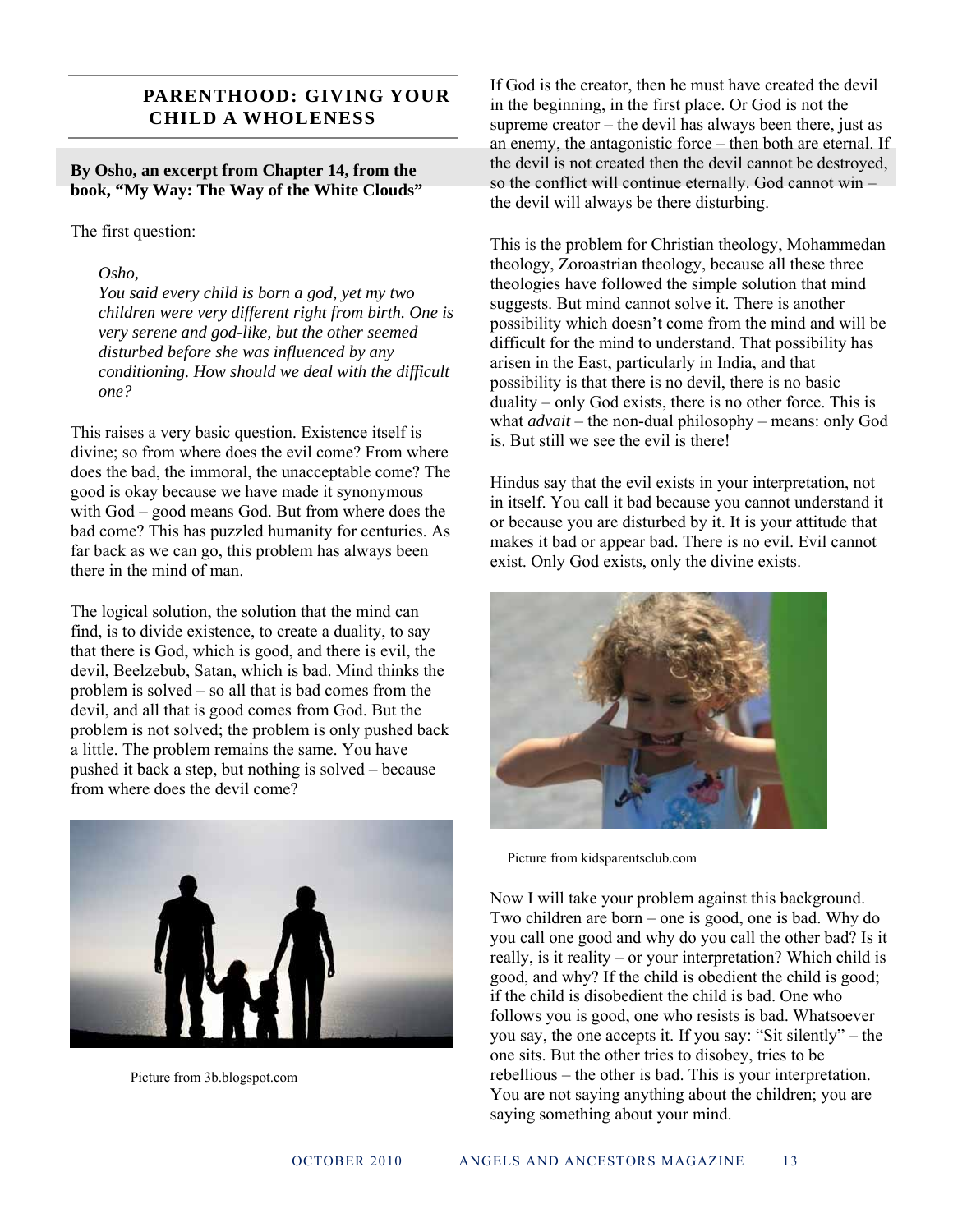#### **PARENTHOOD: GIVING YOUR CHILD A WHOLENESS**

**By Osho, an excerpt from Chapter 14, from the book, "My Way: The Way of the White Clouds"** 

The first question:

#### *Osho,*

*You said every child is born a god, yet my two children were very different right from birth. One is very serene and god-like, but the other seemed disturbed before she was influenced by any conditioning. How should we deal with the difficult one?* 

This raises a very basic question. Existence itself is divine; so from where does the evil come? From where does the bad, the immoral, the unacceptable come? The good is okay because we have made it synonymous with God – good means God. But from where does the bad come? This has puzzled humanity for centuries. As far back as we can go, this problem has always been there in the mind of man.

The logical solution, the solution that the mind can find, is to divide existence, to create a duality, to say that there is God, which is good, and there is evil, the devil, Beelzebub, Satan, which is bad. Mind thinks the problem is solved – so all that is bad comes from the devil, and all that is good comes from God. But the problem is not solved; the problem is only pushed back a little. The problem remains the same. You have pushed it back a step, but nothing is solved – because from where does the devil come?



Picture from 3b.blogspot.com

If God is the creator, then he must have created the devil in the beginning, in the first place. Or God is not the supreme creator – the devil has always been there, just as an enemy, the antagonistic force – then both are eternal. If the devil is not created then the devil cannot be destroyed, so the conflict will continue eternally. God cannot win – the devil will always be there disturbing.

This is the problem for Christian theology, Mohammedan theology, Zoroastrian theology, because all these three theologies have followed the simple solution that mind suggests. But mind cannot solve it. There is another possibility which doesn't come from the mind and will be difficult for the mind to understand. That possibility has arisen in the East, particularly in India, and that possibility is that there is no devil, there is no basic duality – only God exists, there is no other force. This is what *advait* – the non-dual philosophy – means: only God is. But still we see the evil is there!

Hindus say that the evil exists in your interpretation, not in itself. You call it bad because you cannot understand it or because you are disturbed by it. It is your attitude that makes it bad or appear bad. There is no evil. Evil cannot exist. Only God exists, only the divine exists.



Picture from kidsparentsclub.com

Now I will take your problem against this background. Two children are born – one is good, one is bad. Why do you call one good and why do you call the other bad? Is it really, is it reality – or your interpretation? Which child is good, and why? If the child is obedient the child is good; if the child is disobedient the child is bad. One who follows you is good, one who resists is bad. Whatsoever you say, the one accepts it. If you say: "Sit silently" – the one sits. But the other tries to disobey, tries to be rebellious – the other is bad. This is your interpretation. You are not saying anything about the children; you are saying something about your mind.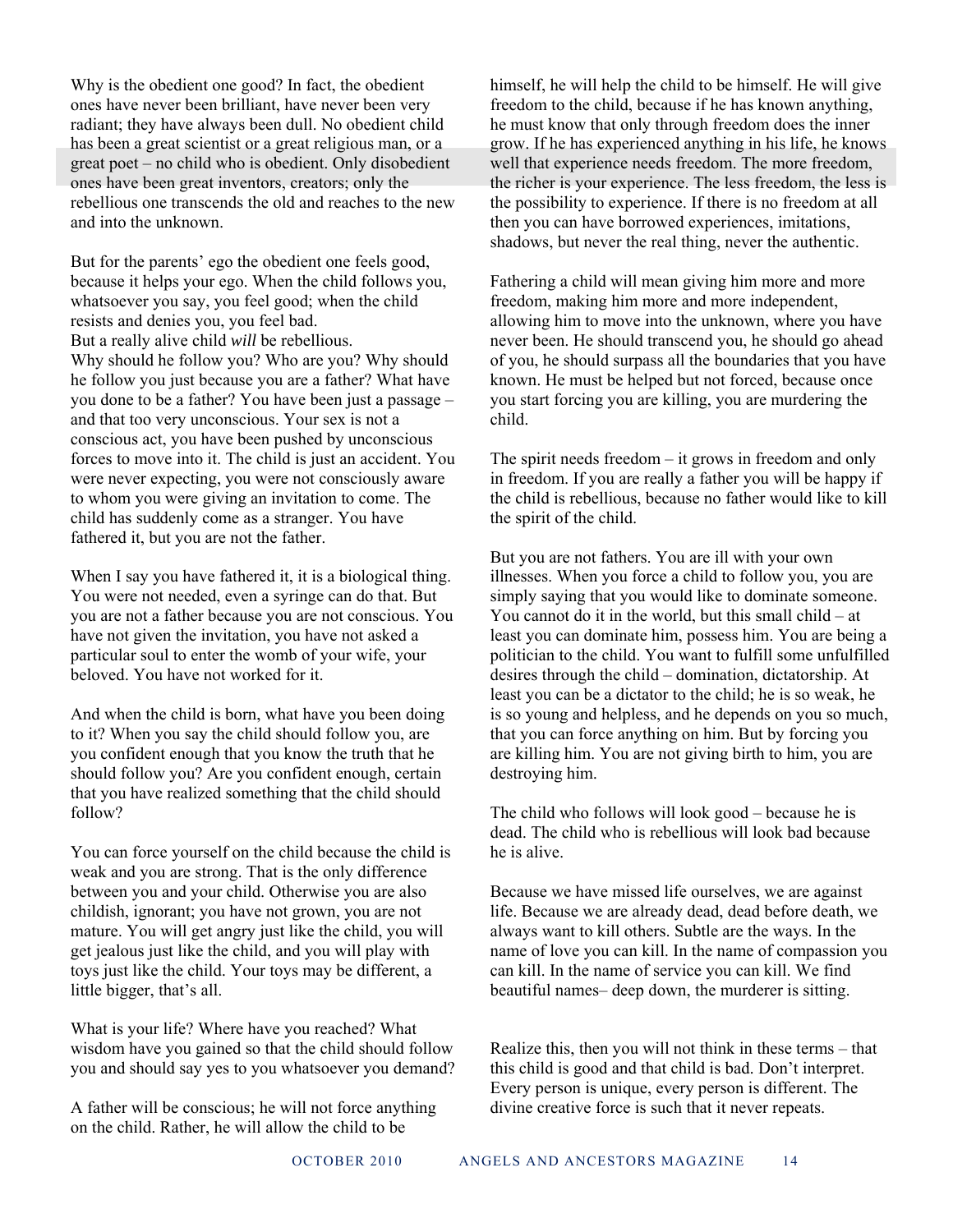Why is the obedient one good? In fact, the obedient ones have never been brilliant, have never been very radiant; they have always been dull. No obedient child has been a great scientist or a great religious man, or a great poet – no child who is obedient. Only disobedient ones have been great inventors, creators; only the rebellious one transcends the old and reaches to the new and into the unknown.

But for the parents' ego the obedient one feels good, because it helps your ego. When the child follows you, whatsoever you say, you feel good; when the child resists and denies you, you feel bad. But a really alive child *will* be rebellious. Why should he follow you? Who are you? Why should he follow you just because you are a father? What have you done to be a father? You have been just a passage – and that too very unconscious. Your sex is not a conscious act, you have been pushed by unconscious forces to move into it. The child is just an accident. You were never expecting, you were not consciously aware to whom you were giving an invitation to come. The child has suddenly come as a stranger. You have fathered it, but you are not the father.

When I say you have fathered it, it is a biological thing. You were not needed, even a syringe can do that. But you are not a father because you are not conscious. You have not given the invitation, you have not asked a particular soul to enter the womb of your wife, your beloved. You have not worked for it.

And when the child is born, what have you been doing to it? When you say the child should follow you, are you confident enough that you know the truth that he should follow you? Are you confident enough, certain that you have realized something that the child should follow?

You can force yourself on the child because the child is weak and you are strong. That is the only difference between you and your child. Otherwise you are also childish, ignorant; you have not grown, you are not mature. You will get angry just like the child, you will get jealous just like the child, and you will play with toys just like the child. Your toys may be different, a little bigger, that's all.

What is your life? Where have you reached? What wisdom have you gained so that the child should follow you and should say yes to you whatsoever you demand?

A father will be conscious; he will not force anything on the child. Rather, he will allow the child to be

himself, he will help the child to be himself. He will give freedom to the child, because if he has known anything, he must know that only through freedom does the inner grow. If he has experienced anything in his life, he knows well that experience needs freedom. The more freedom, the richer is your experience. The less freedom, the less is the possibility to experience. If there is no freedom at all then you can have borrowed experiences, imitations, shadows, but never the real thing, never the authentic.

Fathering a child will mean giving him more and more freedom, making him more and more independent, allowing him to move into the unknown, where you have never been. He should transcend you, he should go ahead of you, he should surpass all the boundaries that you have known. He must be helped but not forced, because once you start forcing you are killing, you are murdering the child.

The spirit needs freedom – it grows in freedom and only in freedom. If you are really a father you will be happy if the child is rebellious, because no father would like to kill the spirit of the child.

But you are not fathers. You are ill with your own illnesses. When you force a child to follow you, you are simply saying that you would like to dominate someone. You cannot do it in the world, but this small child – at least you can dominate him, possess him. You are being a politician to the child. You want to fulfill some unfulfilled desires through the child – domination, dictatorship. At least you can be a dictator to the child; he is so weak, he is so young and helpless, and he depends on you so much, that you can force anything on him. But by forcing you are killing him. You are not giving birth to him, you are destroying him.

The child who follows will look good – because he is dead. The child who is rebellious will look bad because he is alive.

Because we have missed life ourselves, we are against life. Because we are already dead, dead before death, we always want to kill others. Subtle are the ways. In the name of love you can kill. In the name of compassion you can kill. In the name of service you can kill. We find beautiful names– deep down, the murderer is sitting.

Realize this, then you will not think in these terms – that this child is good and that child is bad. Don't interpret. Every person is unique, every person is different. The divine creative force is such that it never repeats.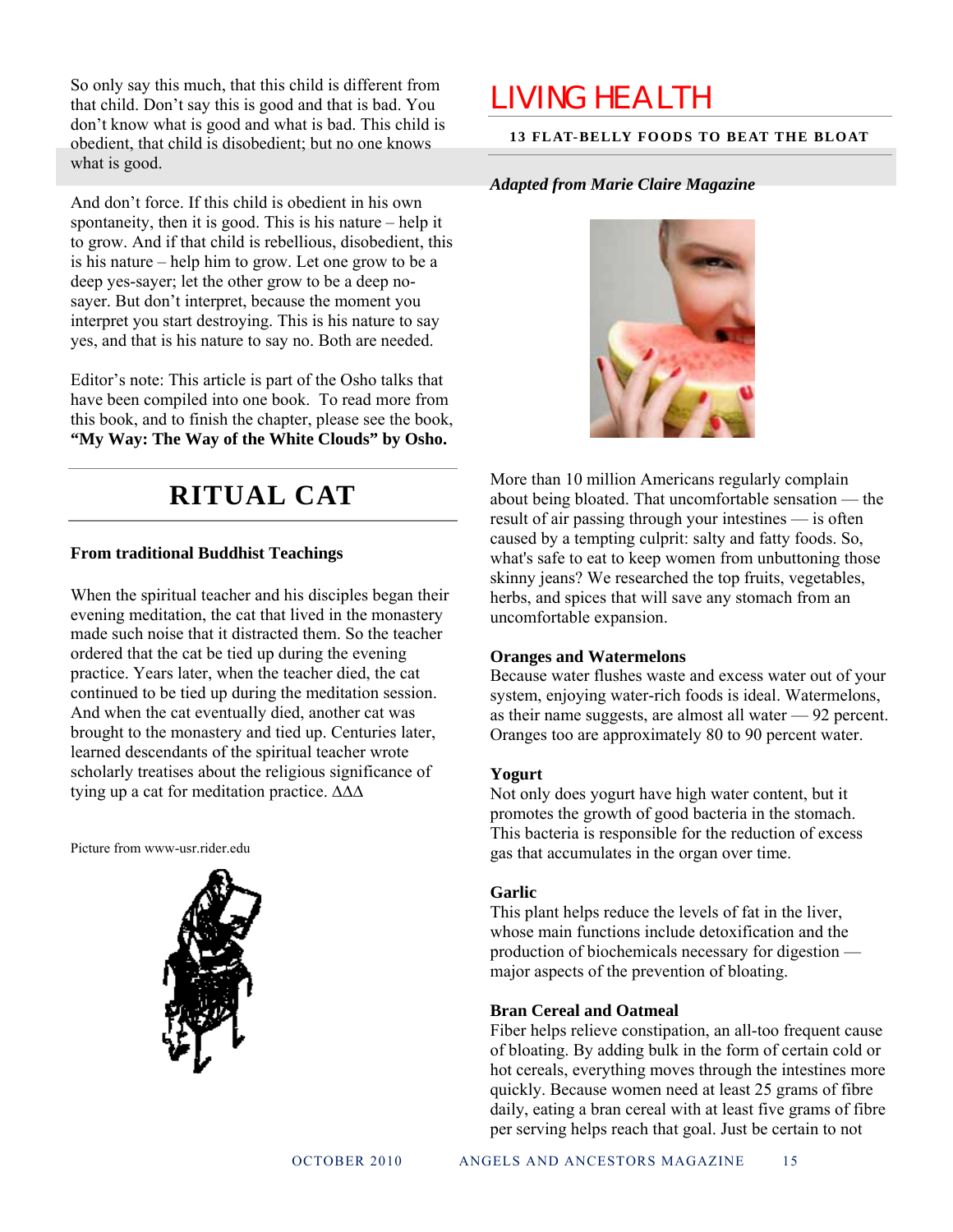So only say this much, that this child is different from that child. Don't say this is good and that is bad. You don't know what is good and what is bad. This child is obedient, that child is disobedient; but no one knows what is good.

And don't force. If this child is obedient in his own spontaneity, then it is good. This is his nature – help it to grow. And if that child is rebellious, disobedient, this is his nature – help him to grow. Let one grow to be a deep yes-sayer; let the other grow to be a deep nosayer. But don't interpret, because the moment you interpret you start destroying. This is his nature to say yes, and that is his nature to say no. Both are needed.

Editor's note: This article is part of the Osho talks that have been compiled into one book. To read more from this book, and to finish the chapter, please see the book, **"My Way: The Way of the White Clouds" by Osho.**

## **RITUAL CAT**

#### **From traditional Buddhist Teachings**

When the spiritual teacher and his disciples began their evening meditation, the cat that lived in the monastery made such noise that it distracted them. So the teacher ordered that the cat be tied up during the evening practice. Years later, when the teacher died, the cat continued to be tied up during the meditation session. And when the cat eventually died, another cat was brought to the monastery and tied up. Centuries later, learned descendants of the spiritual teacher wrote scholarly treatises about the religious significance of tying up a cat for meditation practice. ∆∆∆

Picture from www-usr.rider.edu



## LIVING HEALTH

#### **13 FLAT-BELLY FOODS TO BEAT THE BLOAT**

#### *Adapted from Marie Claire Magazine*



More than 10 million Americans regularly complain about being bloated. That uncomfortable sensation — the result of air passing through your intestines — is often caused by a tempting culprit: salty and fatty foods. So, what's safe to eat to keep women from unbuttoning those skinny jeans? We researched the top fruits, vegetables, herbs, and spices that will save any stomach from an uncomfortable expansion.

#### **Oranges and Watermelons**

Because water flushes waste and excess water out of your system, enjoying water-rich foods is ideal. Watermelons, as their name suggests, are almost all water — 92 percent. Oranges too are approximately 80 to 90 percent water.

#### **Yogurt**

Not only does yogurt have high water content, but it promotes the growth of good bacteria in the stomach. This bacteria is responsible for the reduction of excess gas that accumulates in the organ over time.

#### **Garlic**

This plant helps reduce the levels of fat in the liver, whose main functions include detoxification and the production of biochemicals necessary for digestion major aspects of the prevention of bloating.

#### **Bran Cereal and Oatmeal**

Fiber helps relieve constipation, an all-too frequent cause of bloating. By adding bulk in the form of certain cold or hot cereals, everything moves through the intestines more quickly. Because women need at least 25 grams of fibre daily, eating a bran cereal with at least five grams of fibre per serving helps reach that goal. Just be certain to not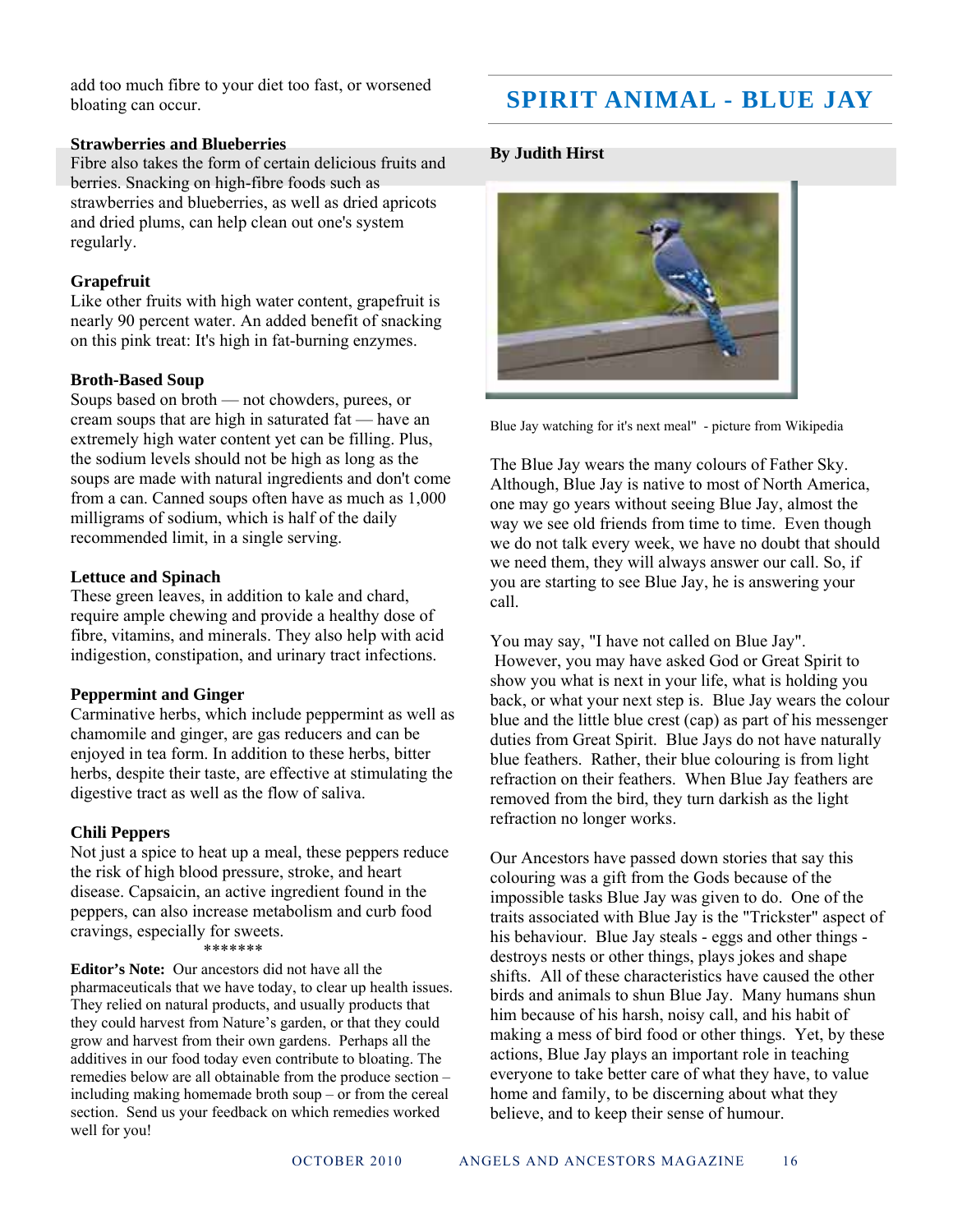add too much fibre to your diet too fast, or worsened bloating can occur.

#### **Strawberries and Blueberries**

Fibre also takes the form of certain delicious fruits and berries. Snacking on high-fibre foods such as strawberries and blueberries, as well as dried apricots and dried plums, can help clean out one's system regularly.

#### **Grapefruit**

Like other fruits with high water content, grapefruit is nearly 90 percent water. An added benefit of snacking on this pink treat: It's high in fat-burning enzymes.

#### **Broth-Based Soup**

Soups based on broth — not chowders, purees, or cream soups that are high in saturated fat — have an extremely high water content yet can be filling. Plus, the sodium levels should not be high as long as the soups are made with natural ingredients and don't come from a can. Canned soups often have as much as 1,000 milligrams of sodium, which is half of the daily recommended limit, in a single serving.

#### **Lettuce and Spinach**

These green leaves, in addition to kale and chard, require ample chewing and provide a healthy dose of fibre, vitamins, and minerals. They also help with acid indigestion, constipation, and urinary tract infections.

#### **Peppermint and Ginger**

Carminative herbs, which include peppermint as well as chamomile and ginger, are gas reducers and can be enjoyed in tea form. In addition to these herbs, bitter herbs, despite their taste, are effective at stimulating the digestive tract as well as the flow of saliva.

#### **Chili Peppers**

Not just a spice to heat up a meal, these peppers reduce the risk of high blood pressure, stroke, and heart disease. Capsaicin, an active ingredient found in the peppers, can also increase metabolism and curb food cravings, especially for sweets.

#### \*\*\*\*\*\*\*

**Editor's Note:** Our ancestors did not have all the pharmaceuticals that we have today, to clear up health issues. They relied on natural products, and usually products that they could harvest from Nature's garden, or that they could grow and harvest from their own gardens. Perhaps all the additives in our food today even contribute to bloating. The remedies below are all obtainable from the produce section – including making homemade broth soup – or from the cereal section. Send us your feedback on which remedies worked well for you!

## **SPIRIT ANIMAL - BLUE JAY**

#### **By Judith Hirst**



Blue Jay watching for it's next meal" - picture from Wikipedia

The Blue Jay wears the many colours of Father Sky. Although, Blue Jay is native to most of North America, one may go years without seeing Blue Jay, almost the way we see old friends from time to time. Even though we do not talk every week, we have no doubt that should we need them, they will always answer our call. So, if you are starting to see Blue Jay, he is answering your call.

You may say, "I have not called on Blue Jay". However, you may have asked God or Great Spirit to show you what is next in your life, what is holding you back, or what your next step is. Blue Jay wears the colour blue and the little blue crest (cap) as part of his messenger duties from Great Spirit. Blue Jays do not have naturally blue feathers. Rather, their blue colouring is from light refraction on their feathers. When Blue Jay feathers are removed from the bird, they turn darkish as the light refraction no longer works.

Our Ancestors have passed down stories that say this colouring was a gift from the Gods because of the impossible tasks Blue Jay was given to do. One of the traits associated with Blue Jay is the "Trickster" aspect of his behaviour. Blue Jay steals - eggs and other things destroys nests or other things, plays jokes and shape shifts. All of these characteristics have caused the other birds and animals to shun Blue Jay. Many humans shun him because of his harsh, noisy call, and his habit of making a mess of bird food or other things. Yet, by these actions, Blue Jay plays an important role in teaching everyone to take better care of what they have, to value home and family, to be discerning about what they believe, and to keep their sense of humour.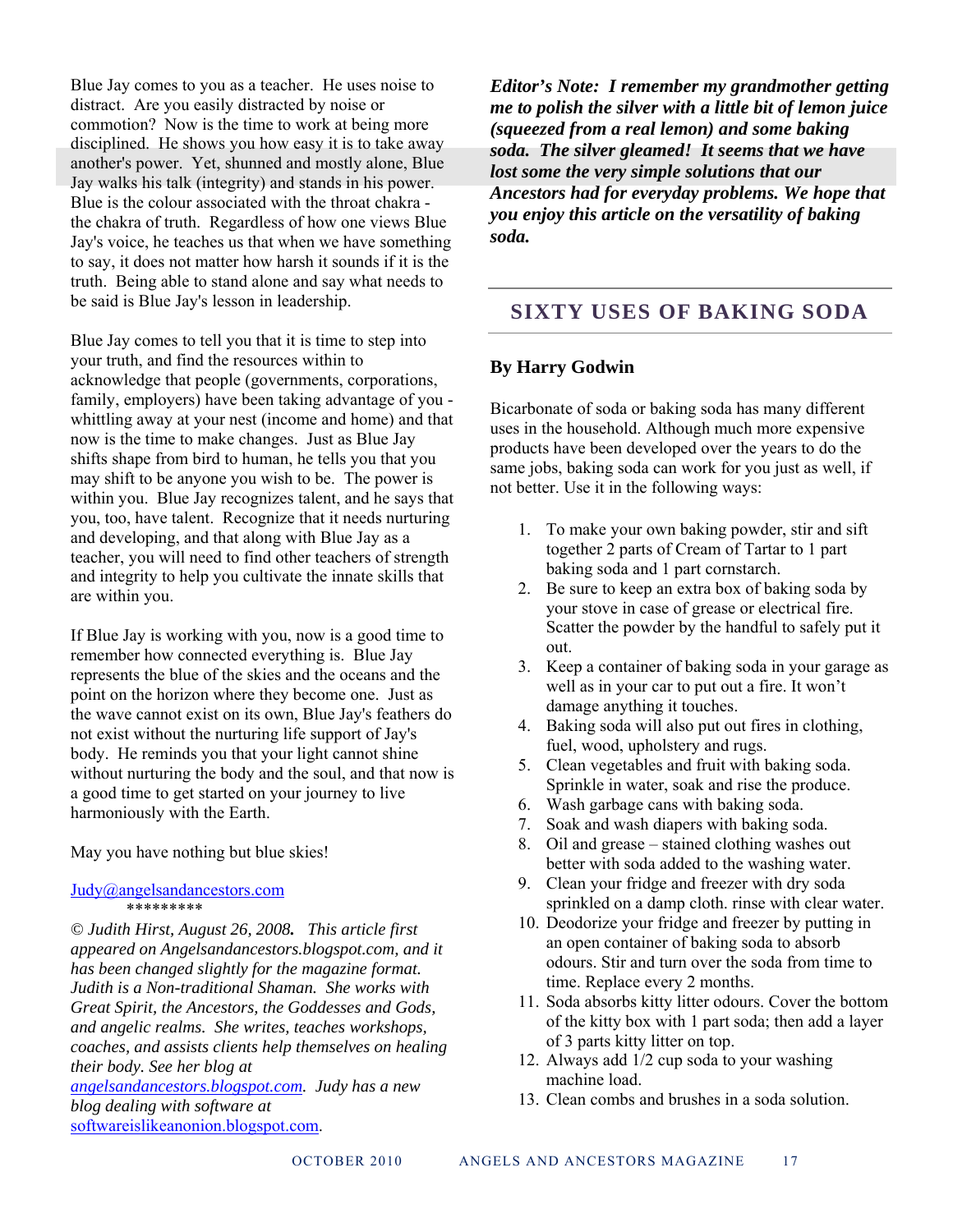Blue Jay comes to you as a teacher. He uses noise to distract. Are you easily distracted by noise or commotion? Now is the time to work at being more disciplined. He shows you how easy it is to take away another's power. Yet, shunned and mostly alone, Blue Jay walks his talk (integrity) and stands in his power. Blue is the colour associated with the throat chakra the chakra of truth. Regardless of how one views Blue Jay's voice, he teaches us that when we have something to say, it does not matter how harsh it sounds if it is the truth. Being able to stand alone and say what needs to be said is Blue Jay's lesson in leadership.

Blue Jay comes to tell you that it is time to step into your truth, and find the resources within to acknowledge that people (governments, corporations, family, employers) have been taking advantage of you whittling away at your nest (income and home) and that now is the time to make changes. Just as Blue Jay shifts shape from bird to human, he tells you that you may shift to be anyone you wish to be. The power is within you. Blue Jay recognizes talent, and he says that you, too, have talent. Recognize that it needs nurturing and developing, and that along with Blue Jay as a teacher, you will need to find other teachers of strength and integrity to help you cultivate the innate skills that are within you.

If Blue Jay is working with you, now is a good time to remember how connected everything is. Blue Jay represents the blue of the skies and the oceans and the point on the horizon where they become one. Just as the wave cannot exist on its own, Blue Jay's feathers do not exist without the nurturing life support of Jay's body. He reminds you that your light cannot shine without nurturing the body and the soul, and that now is a good time to get started on your journey to live harmoniously with the Earth.

May you have nothing but blue skies!

#### Judy@angelsandancestors.com \*\*\*\*\*\*\*\*\*

*© Judith Hirst, August 26, 2008. This article first appeared on Angelsandancestors.blogspot.com, and it has been changed slightly for the magazine format. Judith is a Non-traditional Shaman. She works with Great Spirit, the Ancestors, the Goddesses and Gods, and angelic realms. She writes, teaches workshops, coaches, and assists clients help themselves on healing their body. See her blog at* 

*angelsandancestors.blogspot.com. Judy has a new blog dealing with software at*  softwareislikeanonion.blogspot.com.

*Editor's Note: I remember my grandmother getting me to polish the silver with a little bit of lemon juice (squeezed from a real lemon) and some baking soda. The silver gleamed! It seems that we have lost some the very simple solutions that our Ancestors had for everyday problems. We hope that you enjoy this article on the versatility of baking soda.* 

### **SIXTY USES OF BAKING SODA**

#### **By Harry Godwin**

Bicarbonate of soda or baking soda has many different uses in the household. Although much more expensive products have been developed over the years to do the same jobs, baking soda can work for you just as well, if not better. Use it in the following ways:

- 1. To make your own baking powder, stir and sift together 2 parts of Cream of Tartar to 1 part baking soda and 1 part cornstarch.
- 2. Be sure to keep an extra box of baking soda by your stove in case of grease or electrical fire. Scatter the powder by the handful to safely put it out.
- 3. Keep a container of baking soda in your garage as well as in your car to put out a fire. It won't damage anything it touches.
- 4. Baking soda will also put out fires in clothing, fuel, wood, upholstery and rugs.
- 5. Clean vegetables and fruit with baking soda. Sprinkle in water, soak and rise the produce.
- 6. Wash garbage cans with baking soda.
- 7. Soak and wash diapers with baking soda.
- 8. Oil and grease stained clothing washes out better with soda added to the washing water.
- 9. Clean your fridge and freezer with dry soda sprinkled on a damp cloth. rinse with clear water.
- 10. Deodorize your fridge and freezer by putting in an open container of baking soda to absorb odours. Stir and turn over the soda from time to time. Replace every 2 months.
- 11. Soda absorbs kitty litter odours. Cover the bottom of the kitty box with 1 part soda; then add a layer of 3 parts kitty litter on top.
- 12. Always add 1/2 cup soda to your washing machine load.
- 13. Clean combs and brushes in a soda solution.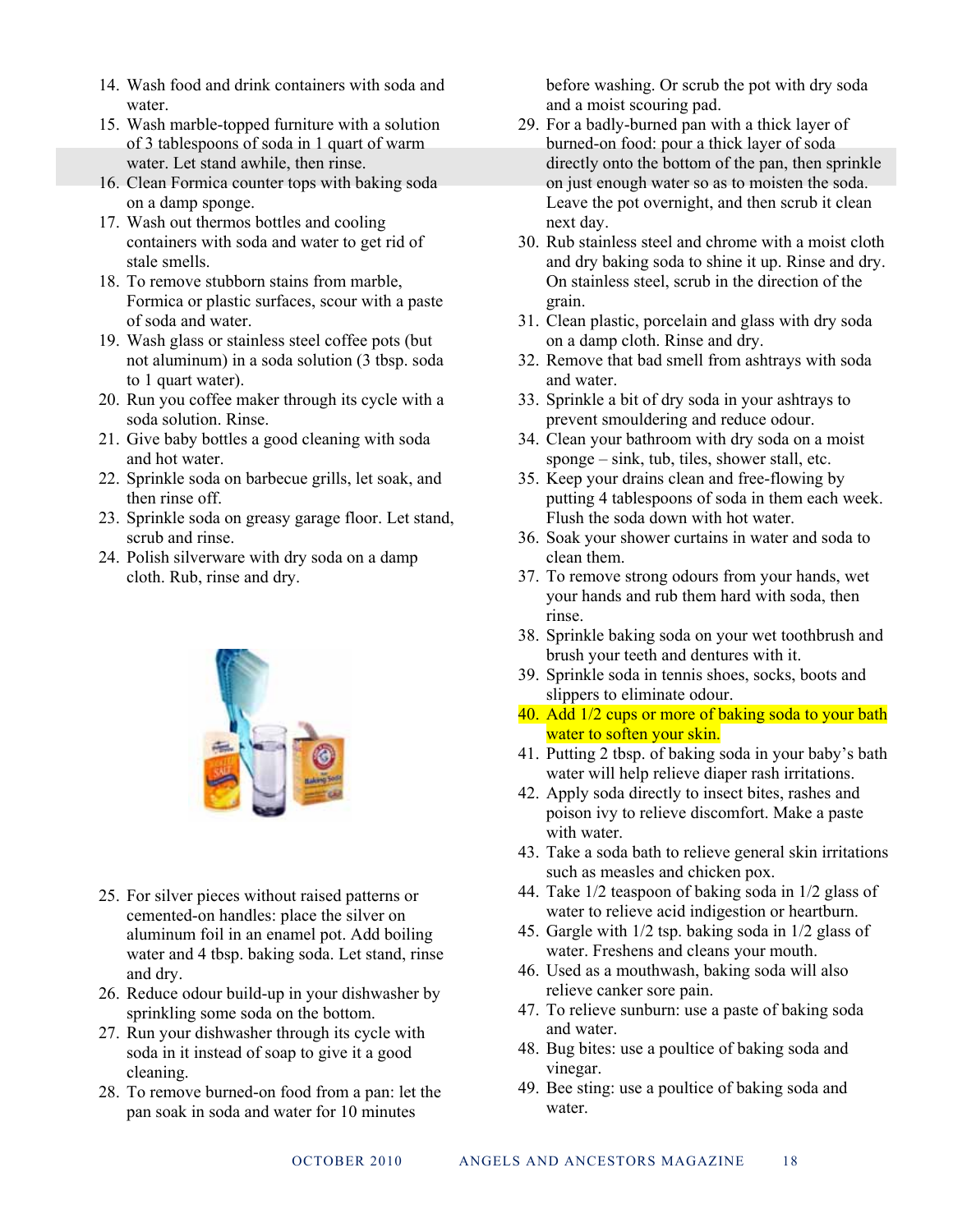- 14. Wash food and drink containers with soda and water.
- 15. Wash marble-topped furniture with a solution of 3 tablespoons of soda in 1 quart of warm water. Let stand awhile, then rinse.
- 16. Clean Formica counter tops with baking soda on a damp sponge.
- 17. Wash out thermos bottles and cooling containers with soda and water to get rid of stale smells.
- 18. To remove stubborn stains from marble, Formica or plastic surfaces, scour with a paste of soda and water.
- 19. Wash glass or stainless steel coffee pots (but not aluminum) in a soda solution (3 tbsp. soda to 1 quart water).
- 20. Run you coffee maker through its cycle with a soda solution. Rinse.
- 21. Give baby bottles a good cleaning with soda and hot water.
- 22. Sprinkle soda on barbecue grills, let soak, and then rinse off.
- 23. Sprinkle soda on greasy garage floor. Let stand, scrub and rinse.
- 24. Polish silverware with dry soda on a damp cloth. Rub, rinse and dry.



- 25. For silver pieces without raised patterns or cemented-on handles: place the silver on aluminum foil in an enamel pot. Add boiling water and 4 tbsp. baking soda. Let stand, rinse and dry.
- 26. Reduce odour build-up in your dishwasher by sprinkling some soda on the bottom.
- 27. Run your dishwasher through its cycle with soda in it instead of soap to give it a good cleaning.
- 28. To remove burned-on food from a pan: let the pan soak in soda and water for 10 minutes

before washing. Or scrub the pot with dry soda and a moist scouring pad.

- 29. For a badly-burned pan with a thick layer of burned-on food: pour a thick layer of soda directly onto the bottom of the pan, then sprinkle on just enough water so as to moisten the soda. Leave the pot overnight, and then scrub it clean next day.
- 30. Rub stainless steel and chrome with a moist cloth and dry baking soda to shine it up. Rinse and dry. On stainless steel, scrub in the direction of the grain.
- 31. Clean plastic, porcelain and glass with dry soda on a damp cloth. Rinse and dry.
- 32. Remove that bad smell from ashtrays with soda and water.
- 33. Sprinkle a bit of dry soda in your ashtrays to prevent smouldering and reduce odour.
- 34. Clean your bathroom with dry soda on a moist sponge – sink, tub, tiles, shower stall, etc.
- 35. Keep your drains clean and free-flowing by putting 4 tablespoons of soda in them each week. Flush the soda down with hot water.
- 36. Soak your shower curtains in water and soda to clean them.
- 37. To remove strong odours from your hands, wet your hands and rub them hard with soda, then rinse.
- 38. Sprinkle baking soda on your wet toothbrush and brush your teeth and dentures with it.
- 39. Sprinkle soda in tennis shoes, socks, boots and slippers to eliminate odour.
- 40. Add 1/2 cups or more of baking soda to your bath water to soften your skin.
- 41. Putting 2 tbsp. of baking soda in your baby's bath water will help relieve diaper rash irritations.
- 42. Apply soda directly to insect bites, rashes and poison ivy to relieve discomfort. Make a paste with water.
- 43. Take a soda bath to relieve general skin irritations such as measles and chicken pox.
- 44. Take 1/2 teaspoon of baking soda in 1/2 glass of water to relieve acid indigestion or heartburn.
- 45. Gargle with 1/2 tsp. baking soda in 1/2 glass of water. Freshens and cleans your mouth.
- 46. Used as a mouthwash, baking soda will also relieve canker sore pain.
- 47. To relieve sunburn: use a paste of baking soda and water.
- 48. Bug bites: use a poultice of baking soda and vinegar.
- 49. Bee sting: use a poultice of baking soda and water.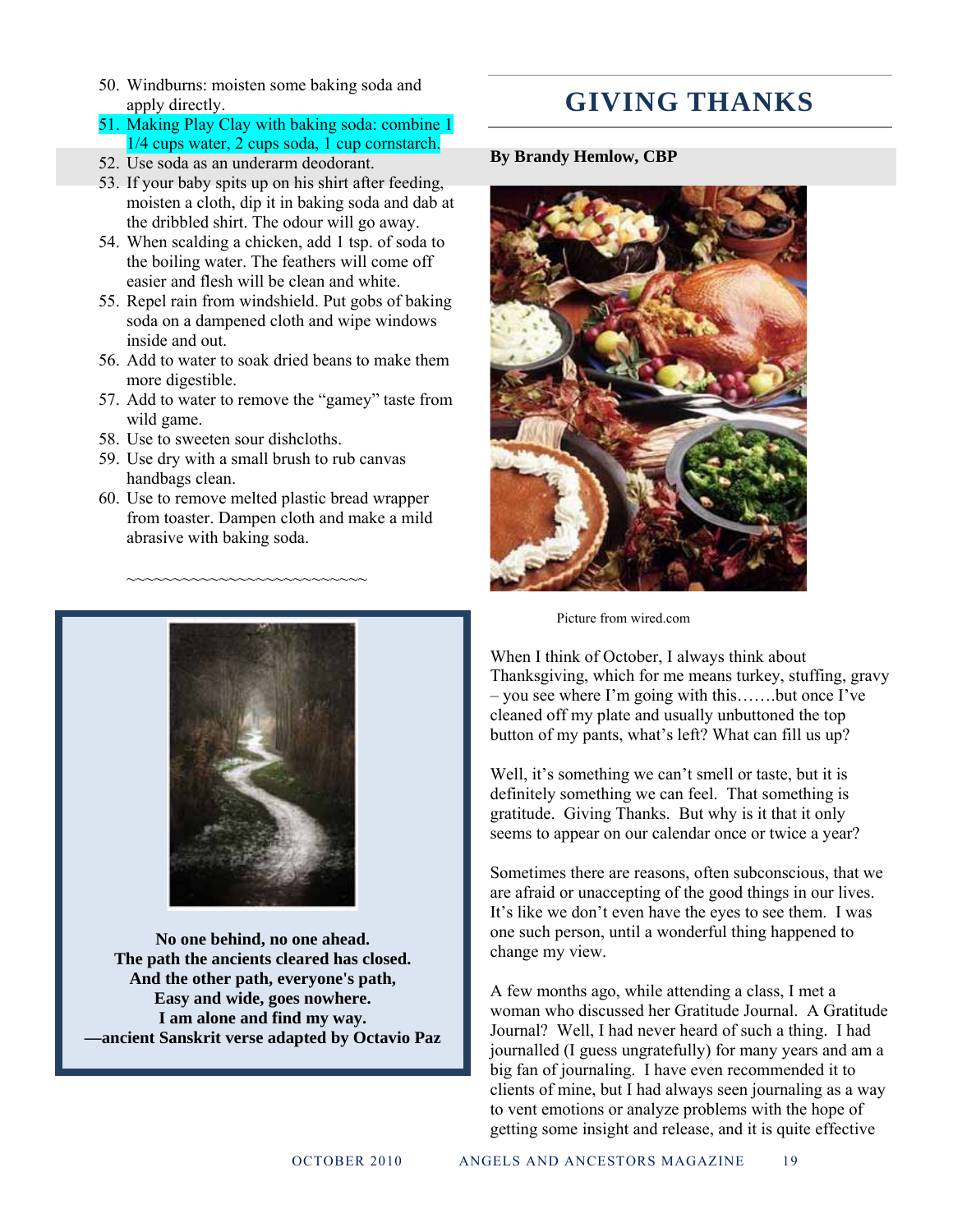50. Windburns: moisten some baking soda and apply directly.

#### 51. Making Play Clay with baking soda: combine 1 1/4 cups water, 2 cups soda, 1 cup cornstarch.

- 52. Use soda as an underarm deodorant.
- 53. If your baby spits up on his shirt after feeding, moisten a cloth, dip it in baking soda and dab at the dribbled shirt. The odour will go away.
- 54. When scalding a chicken, add 1 tsp. of soda to the boiling water. The feathers will come off easier and flesh will be clean and white.
- 55. Repel rain from windshield. Put gobs of baking soda on a dampened cloth and wipe windows inside and out.
- 56. Add to water to soak dried beans to make them more digestible.
- 57. Add to water to remove the "gamey" taste from wild game.
- 58. Use to sweeten sour dishcloths.
- 59. Use dry with a small brush to rub canvas handbags clean.

~~~~~~~~~~~~~~~~~~~~~~~~~~

60. Use to remove melted plastic bread wrapper from toaster. Dampen cloth and make a mild abrasive with baking soda.



**No one behind, no one ahead. The path the ancients cleared has closed. And the other path, everyone's path, Easy and wide, goes nowhere. I am alone and find my way. —ancient Sanskrit verse adapted by Octavio Paz** 

## **GIVING THANKS**

**By Brandy Hemlow, CBP** 



Picture from wired.com

When I think of October, I always think about Thanksgiving, which for me means turkey, stuffing, gravy – you see where I'm going with this…….but once I've cleaned off my plate and usually unbuttoned the top button of my pants, what's left? What can fill us up?

Well, it's something we can't smell or taste, but it is definitely something we can feel. That something is gratitude. Giving Thanks. But why is it that it only seems to appear on our calendar once or twice a year?

Sometimes there are reasons, often subconscious, that we are afraid or unaccepting of the good things in our lives. It's like we don't even have the eyes to see them. I was one such person, until a wonderful thing happened to change my view.

A few months ago, while attending a class, I met a woman who discussed her Gratitude Journal. A Gratitude Journal? Well, I had never heard of such a thing. I had journalled (I guess ungratefully) for many years and am a big fan of journaling. I have even recommended it to clients of mine, but I had always seen journaling as a way to vent emotions or analyze problems with the hope of getting some insight and release, and it is quite effective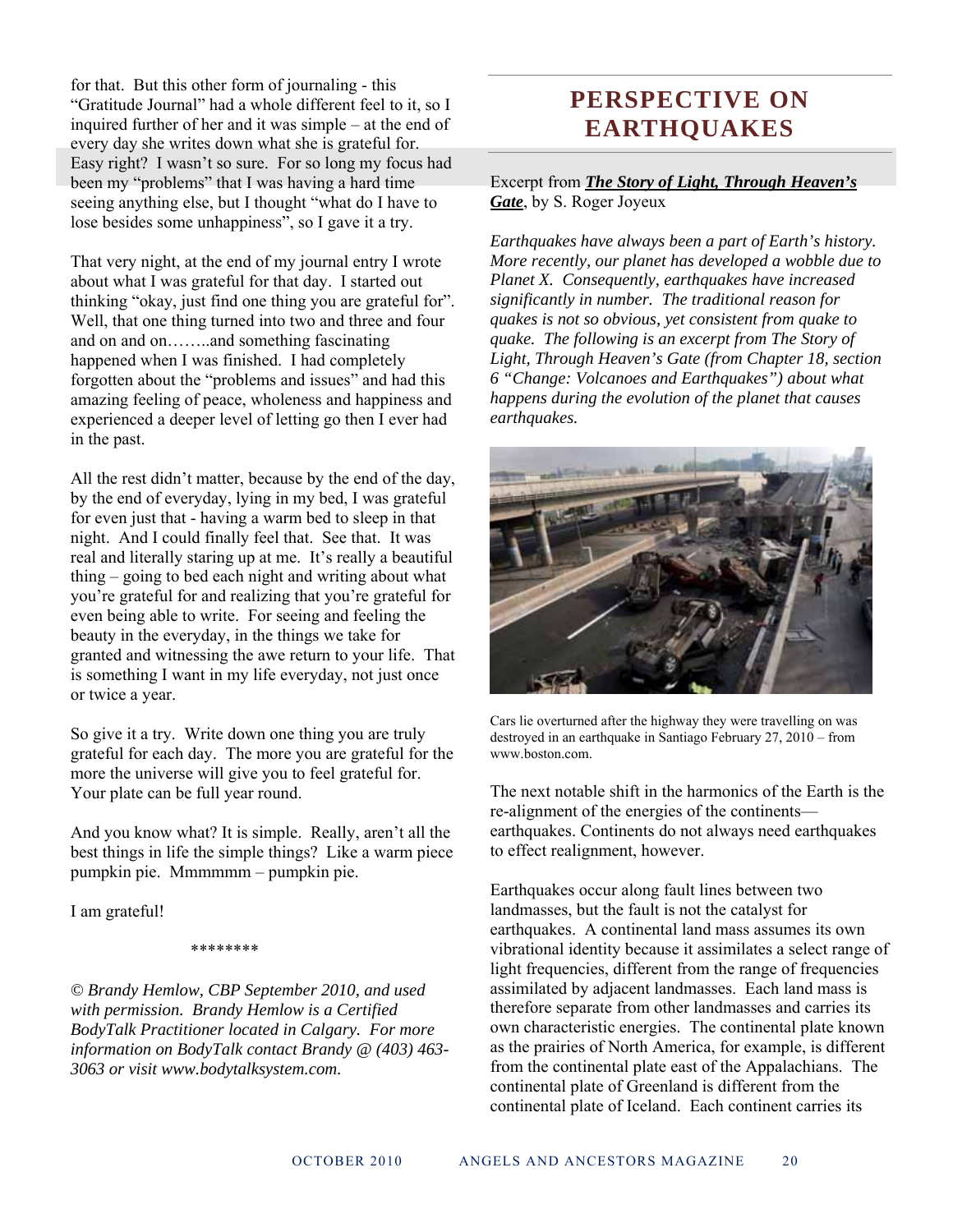for that. But this other form of journaling - this "Gratitude Journal" had a whole different feel to it, so I inquired further of her and it was simple – at the end of every day she writes down what she is grateful for. Easy right? I wasn't so sure. For so long my focus had been my "problems" that I was having a hard time seeing anything else, but I thought "what do I have to lose besides some unhappiness", so I gave it a try.

That very night, at the end of my journal entry I wrote about what I was grateful for that day. I started out thinking "okay, just find one thing you are grateful for". Well, that one thing turned into two and three and four and on and on……..and something fascinating happened when I was finished. I had completely forgotten about the "problems and issues" and had this amazing feeling of peace, wholeness and happiness and experienced a deeper level of letting go then I ever had in the past.

All the rest didn't matter, because by the end of the day, by the end of everyday, lying in my bed, I was grateful for even just that - having a warm bed to sleep in that night. And I could finally feel that. See that. It was real and literally staring up at me. It's really a beautiful thing – going to bed each night and writing about what you're grateful for and realizing that you're grateful for even being able to write. For seeing and feeling the beauty in the everyday, in the things we take for granted and witnessing the awe return to your life. That is something I want in my life everyday, not just once or twice a year.

So give it a try. Write down one thing you are truly grateful for each day. The more you are grateful for the more the universe will give you to feel grateful for. Your plate can be full year round.

And you know what? It is simple. Really, aren't all the best things in life the simple things? Like a warm piece pumpkin pie. Mmmmmm – pumpkin pie.

I am grateful!

#### \*\*\*\*\*\*\*\*

*© Brandy Hemlow, CBP September 2010, and used with permission. Brandy Hemlow is a Certified BodyTalk Practitioner located in Calgary. For more information on BodyTalk contact Brandy @ (403) 463- 3063 or visit www.bodytalksystem.com.* 

## **PERSPECTIVE ON EARTHQUAKES**

Excerpt from *The Story of Light, Through Heaven's Gate*, by S. Roger Joyeux

*Earthquakes have always been a part of Earth's history. More recently, our planet has developed a wobble due to Planet X. Consequently, earthquakes have increased significantly in number. The traditional reason for quakes is not so obvious, yet consistent from quake to quake. The following is an excerpt from The Story of Light, Through Heaven's Gate (from Chapter 18, section 6 "Change: Volcanoes and Earthquakes") about what happens during the evolution of the planet that causes earthquakes.* 



Cars lie overturned after the highway they were travelling on was destroyed in an earthquake in Santiago February 27, 2010 – from www.boston.com.

The next notable shift in the harmonics of the Earth is the re-alignment of the energies of the continents earthquakes. Continents do not always need earthquakes to effect realignment, however.

Earthquakes occur along fault lines between two landmasses, but the fault is not the catalyst for earthquakes. A continental land mass assumes its own vibrational identity because it assimilates a select range of light frequencies, different from the range of frequencies assimilated by adjacent landmasses. Each land mass is therefore separate from other landmasses and carries its own characteristic energies. The continental plate known as the prairies of North America, for example, is different from the continental plate east of the Appalachians. The continental plate of Greenland is different from the continental plate of Iceland. Each continent carries its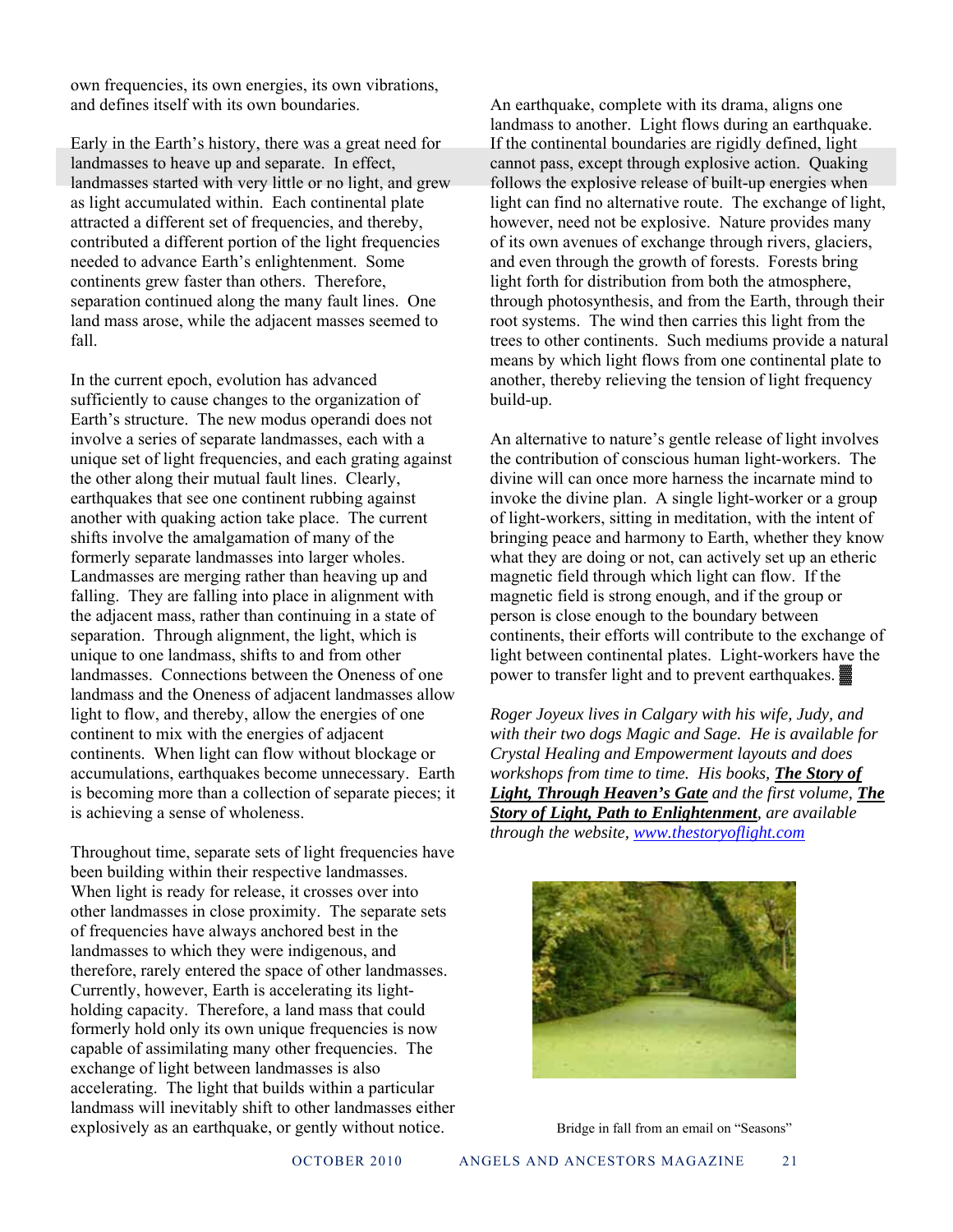own frequencies, its own energies, its own vibrations, and defines itself with its own boundaries.

Early in the Earth's history, there was a great need for landmasses to heave up and separate. In effect, landmasses started with very little or no light, and grew as light accumulated within. Each continental plate attracted a different set of frequencies, and thereby, contributed a different portion of the light frequencies needed to advance Earth's enlightenment. Some continents grew faster than others. Therefore, separation continued along the many fault lines. One land mass arose, while the adjacent masses seemed to fall.

In the current epoch, evolution has advanced sufficiently to cause changes to the organization of Earth's structure. The new modus operandi does not involve a series of separate landmasses, each with a unique set of light frequencies, and each grating against the other along their mutual fault lines. Clearly, earthquakes that see one continent rubbing against another with quaking action take place. The current shifts involve the amalgamation of many of the formerly separate landmasses into larger wholes. Landmasses are merging rather than heaving up and falling. They are falling into place in alignment with the adjacent mass, rather than continuing in a state of separation. Through alignment, the light, which is unique to one landmass, shifts to and from other landmasses. Connections between the Oneness of one landmass and the Oneness of adjacent landmasses allow light to flow, and thereby, allow the energies of one continent to mix with the energies of adjacent continents. When light can flow without blockage or accumulations, earthquakes become unnecessary. Earth is becoming more than a collection of separate pieces; it is achieving a sense of wholeness.

Throughout time, separate sets of light frequencies have been building within their respective landmasses. When light is ready for release, it crosses over into other landmasses in close proximity. The separate sets of frequencies have always anchored best in the landmasses to which they were indigenous, and therefore, rarely entered the space of other landmasses. Currently, however, Earth is accelerating its lightholding capacity. Therefore, a land mass that could formerly hold only its own unique frequencies is now capable of assimilating many other frequencies. The exchange of light between landmasses is also accelerating. The light that builds within a particular landmass will inevitably shift to other landmasses either explosively as an earthquake, or gently without notice.

An earthquake, complete with its drama, aligns one landmass to another. Light flows during an earthquake. If the continental boundaries are rigidly defined, light cannot pass, except through explosive action. Quaking follows the explosive release of built-up energies when light can find no alternative route. The exchange of light, however, need not be explosive. Nature provides many of its own avenues of exchange through rivers, glaciers, and even through the growth of forests. Forests bring light forth for distribution from both the atmosphere, through photosynthesis, and from the Earth, through their root systems. The wind then carries this light from the trees to other continents. Such mediums provide a natural means by which light flows from one continental plate to another, thereby relieving the tension of light frequency build-up.

An alternative to nature's gentle release of light involves the contribution of conscious human light-workers. The divine will can once more harness the incarnate mind to invoke the divine plan. A single light-worker or a group of light-workers, sitting in meditation, with the intent of bringing peace and harmony to Earth, whether they know what they are doing or not, can actively set up an etheric magnetic field through which light can flow. If the magnetic field is strong enough, and if the group or person is close enough to the boundary between continents, their efforts will contribute to the exchange of light between continental plates. Light-workers have the power to transfer light and to prevent earthquakes. ▓

*Roger Joyeux lives in Calgary with his wife, Judy, and with their two dogs Magic and Sage. He is available for Crystal Healing and Empowerment layouts and does workshops from time to time. His books, The Story of Light, Through Heaven's Gate and the first volume, The Story of Light, Path to Enlightenment, are available through the website, www.thestoryoflight.com*



Bridge in fall from an email on "Seasons"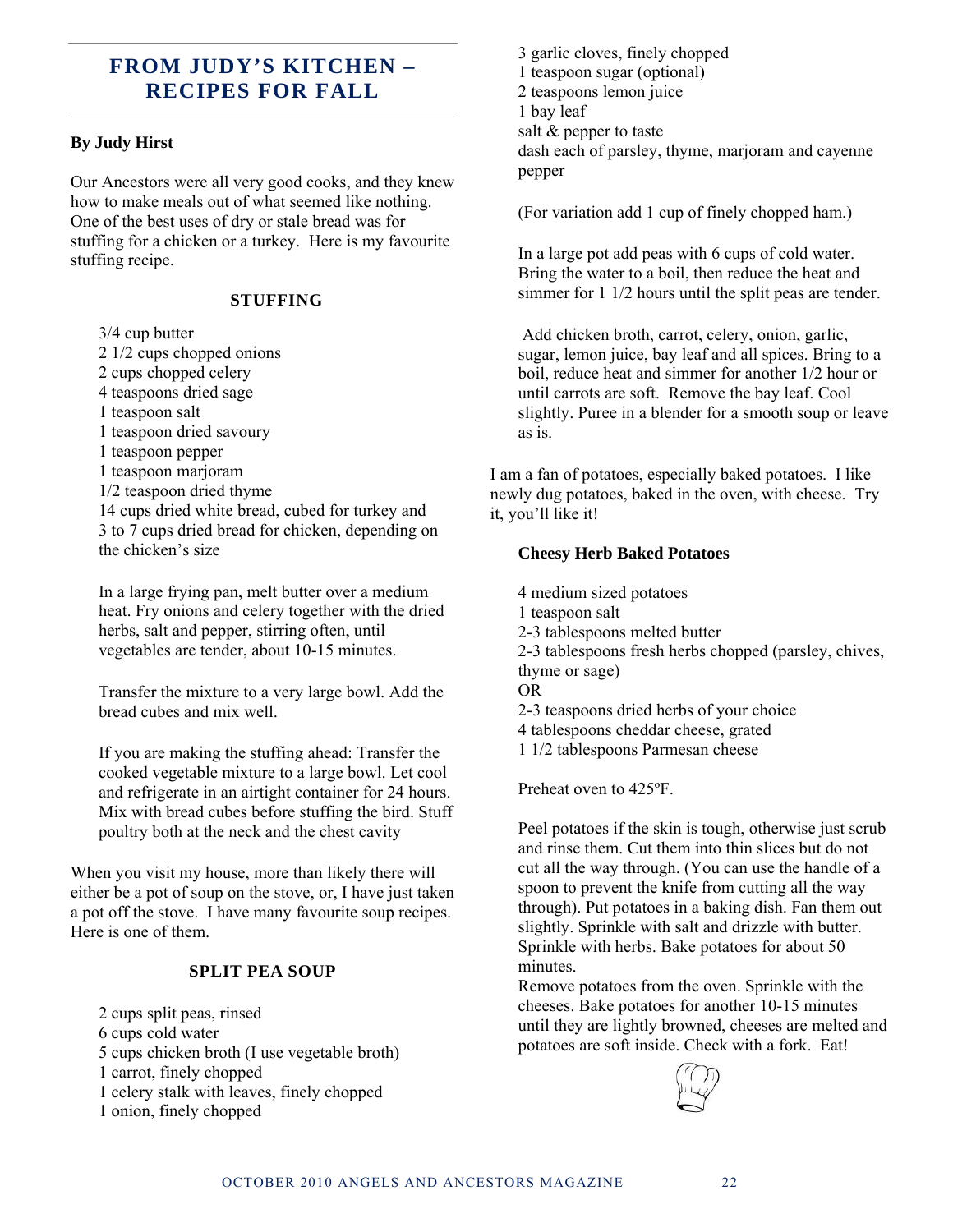### **FROM JUDY'S KITCHEN – RECIPES FOR FALL**

#### **By Judy Hirst**

Our Ancestors were all very good cooks, and they knew how to make meals out of what seemed like nothing. One of the best uses of dry or stale bread was for stuffing for a chicken or a turkey. Here is my favourite stuffing recipe.

#### **STUFFING**

3/4 cup butter

- 2 1/2 cups chopped onions
- 2 cups chopped celery
- 4 teaspoons dried sage
- 1 teaspoon salt
- 1 teaspoon dried savoury
- 1 teaspoon pepper
- 1 teaspoon marjoram
- 1/2 teaspoon dried thyme

14 cups dried white bread, cubed for turkey and 3 to 7 cups dried bread for chicken, depending on the chicken's size

In a large frying pan, melt butter over a medium heat. Fry onions and celery together with the dried herbs, salt and pepper, stirring often, until vegetables are tender, about 10-15 minutes.

Transfer the mixture to a very large bowl. Add the bread cubes and mix well.

If you are making the stuffing ahead: Transfer the cooked vegetable mixture to a large bowl. Let cool and refrigerate in an airtight container for 24 hours. Mix with bread cubes before stuffing the bird. Stuff poultry both at the neck and the chest cavity

When you visit my house, more than likely there will either be a pot of soup on the stove, or, I have just taken a pot off the stove. I have many favourite soup recipes. Here is one of them.

#### **SPLIT PEA SOUP**

2 cups split peas, rinsed 6 cups cold water 5 cups chicken broth (I use vegetable broth) 1 carrot, finely chopped 1 celery stalk with leaves, finely chopped

1 onion, finely chopped

3 garlic cloves, finely chopped 1 teaspoon sugar (optional) 2 teaspoons lemon juice 1 bay leaf salt & pepper to taste dash each of parsley, thyme, marjoram and cayenne pepper

(For variation add 1 cup of finely chopped ham.)

In a large pot add peas with 6 cups of cold water. Bring the water to a boil, then reduce the heat and simmer for 1 1/2 hours until the split peas are tender.

 Add chicken broth, carrot, celery, onion, garlic, sugar, lemon juice, bay leaf and all spices. Bring to a boil, reduce heat and simmer for another 1/2 hour or until carrots are soft. Remove the bay leaf. Cool slightly. Puree in a blender for a smooth soup or leave as is.

I am a fan of potatoes, especially baked potatoes. I like newly dug potatoes, baked in the oven, with cheese. Try it, you'll like it!

#### **Cheesy Herb Baked Potatoes**

4 medium sized potatoes

- 1 teaspoon salt
- 2-3 tablespoons melted butter
- 2-3 tablespoons fresh herbs chopped (parsley, chives, thyme or sage)

OR

2-3 teaspoons dried herbs of your choice

- 4 tablespoons cheddar cheese, grated
- 1 1/2 tablespoons Parmesan cheese

Preheat oven to 425ºF.

Peel potatoes if the skin is tough, otherwise just scrub and rinse them. Cut them into thin slices but do not cut all the way through. (You can use the handle of a spoon to prevent the knife from cutting all the way through). Put potatoes in a baking dish. Fan them out slightly. Sprinkle with salt and drizzle with butter. Sprinkle with herbs. Bake potatoes for about 50 minutes.

Remove potatoes from the oven. Sprinkle with the cheeses. Bake potatoes for another 10-15 minutes until they are lightly browned, cheeses are melted and potatoes are soft inside. Check with a fork. Eat!

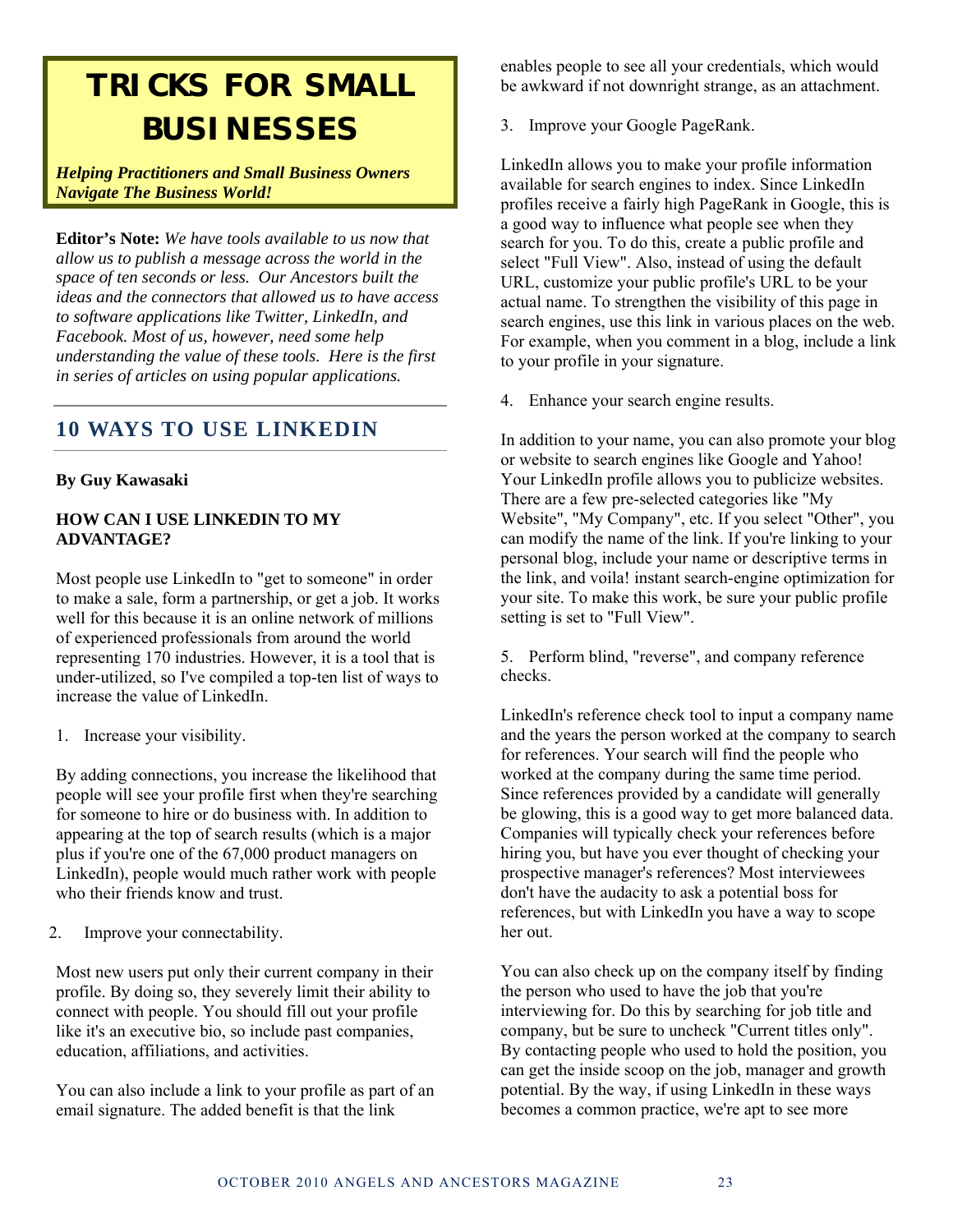# **TRICKS FOR SMALL BUSINESSES**

*Helping Practitioners and Small Business Owners Navigate The Business World!* 

**Editor's Note:** *We have tools available to us now that allow us to publish a message across the world in the space of ten seconds or less. Our Ancestors built the ideas and the connectors that allowed us to have access to software applications like Twitter, LinkedIn, and Facebook. Most of us, however, need some help understanding the value of these tools. Here is the first in series of articles on using popular applications.*

### **10 WAYS TO USE LINKEDIN**

#### **By Guy Kawasaki**

#### **HOW CAN I USE LINKEDIN TO MY ADVANTAGE?**

Most people use LinkedIn to "get to someone" in order to make a sale, form a partnership, or get a job. It works well for this because it is an online network of millions of experienced professionals from around the world representing 170 industries. However, it is a tool that is under-utilized, so I've compiled a top-ten list of ways to increase the value of LinkedIn.

1. Increase your visibility.

By adding connections, you increase the likelihood that people will see your profile first when they're searching for someone to hire or do business with. In addition to appearing at the top of search results (which is a major plus if you're one of the 67,000 product managers on LinkedIn), people would much rather work with people who their friends know and trust.

2. Improve your connectability.

Most new users put only their current company in their profile. By doing so, they severely limit their ability to connect with people. You should fill out your profile like it's an executive bio, so include past companies, education, affiliations, and activities.

You can also include a link to your profile as part of an email signature. The added benefit is that the link

enables people to see all your credentials, which would be awkward if not downright strange, as an attachment.

3. Improve your Google PageRank.

LinkedIn allows you to make your profile information available for search engines to index. Since LinkedIn profiles receive a fairly high PageRank in Google, this is a good way to influence what people see when they search for you. To do this, create a public profile and select "Full View". Also, instead of using the default URL, customize your public profile's URL to be your actual name. To strengthen the visibility of this page in search engines, use this link in various places on the web. For example, when you comment in a blog, include a link to your profile in your signature.

4. Enhance your search engine results.

In addition to your name, you can also promote your blog or website to search engines like Google and Yahoo! Your LinkedIn profile allows you to publicize websites. There are a few pre-selected categories like "My Website", "My Company", etc. If you select "Other", you can modify the name of the link. If you're linking to your personal blog, include your name or descriptive terms in the link, and voila! instant search-engine optimization for your site. To make this work, be sure your public profile setting is set to "Full View".

5. Perform blind, "reverse", and company reference checks.

LinkedIn's reference check tool to input a company name and the years the person worked at the company to search for references. Your search will find the people who worked at the company during the same time period. Since references provided by a candidate will generally be glowing, this is a good way to get more balanced data. Companies will typically check your references before hiring you, but have you ever thought of checking your prospective manager's references? Most interviewees don't have the audacity to ask a potential boss for references, but with LinkedIn you have a way to scope her out.

You can also check up on the company itself by finding the person who used to have the job that you're interviewing for. Do this by searching for job title and company, but be sure to uncheck "Current titles only". By contacting people who used to hold the position, you can get the inside scoop on the job, manager and growth potential. By the way, if using LinkedIn in these ways becomes a common practice, we're apt to see more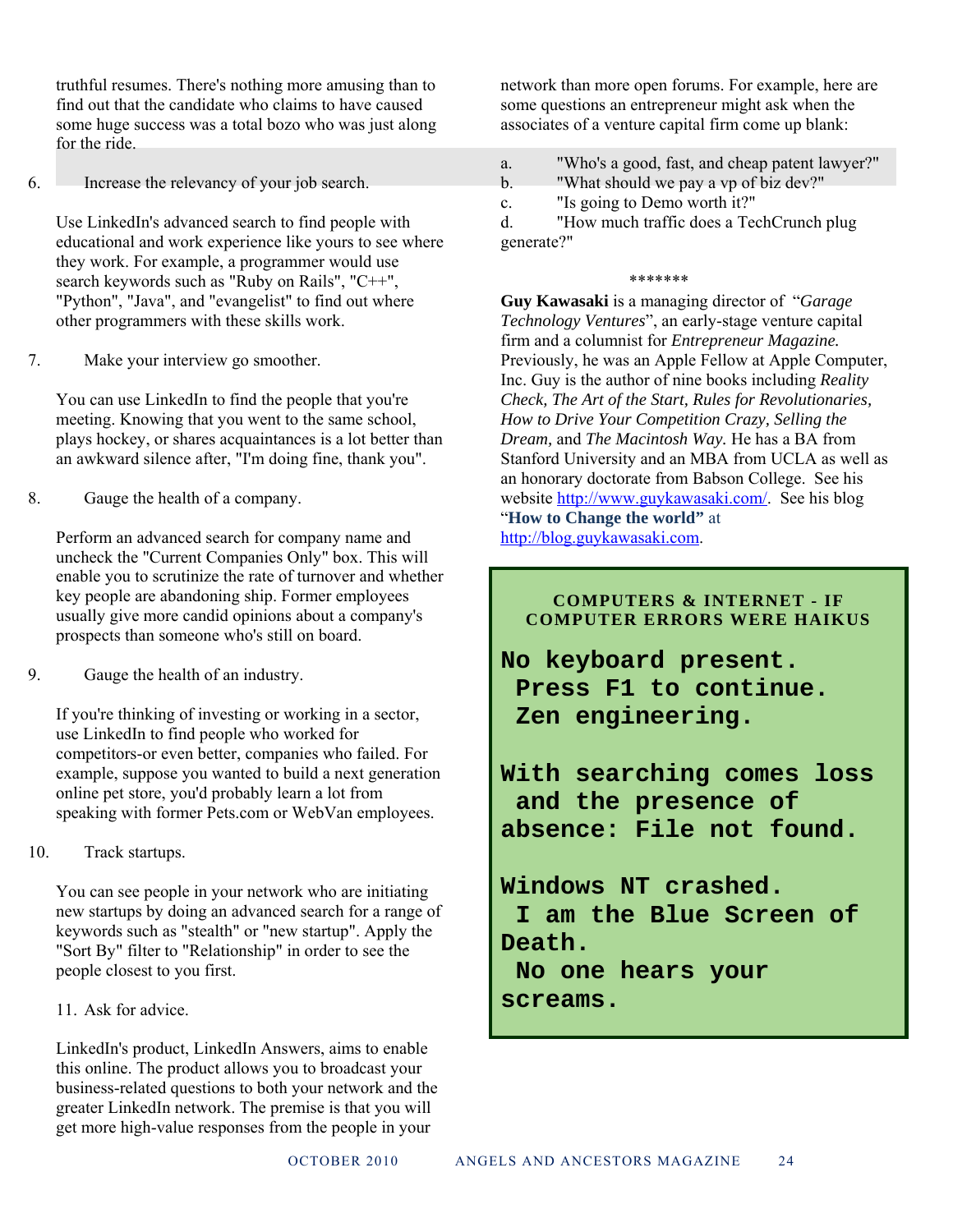truthful resumes. There's nothing more amusing than to find out that the candidate who claims to have caused some huge success was a total bozo who was just along for the ride.

6. Increase the relevancy of your job search.

Use LinkedIn's advanced search to find people with educational and work experience like yours to see where they work. For example, a programmer would use search keywords such as "Ruby on Rails", "C++", "Python", "Java", and "evangelist" to find out where other programmers with these skills work.

7. Make your interview go smoother.

You can use LinkedIn to find the people that you're meeting. Knowing that you went to the same school, plays hockey, or shares acquaintances is a lot better than an awkward silence after, "I'm doing fine, thank you".

8. Gauge the health of a company.

Perform an advanced search for company name and uncheck the "Current Companies Only" box. This will enable you to scrutinize the rate of turnover and whether key people are abandoning ship. Former employees usually give more candid opinions about a company's prospects than someone who's still on board.

9. Gauge the health of an industry.

If you're thinking of investing or working in a sector, use LinkedIn to find people who worked for competitors-or even better, companies who failed. For example, suppose you wanted to build a next generation online pet store, you'd probably learn a lot from speaking with former Pets.com or WebVan employees.

10. Track startups.

You can see people in your network who are initiating new startups by doing an advanced search for a range of keywords such as "stealth" or "new startup". Apply the "Sort By" filter to "Relationship" in order to see the people closest to you first.

11. Ask for advice.

LinkedIn's product, LinkedIn Answers, aims to enable this online. The product allows you to broadcast your business-related questions to both your network and the greater LinkedIn network. The premise is that you will get more high-value responses from the people in your

network than more open forums. For example, here are some questions an entrepreneur might ask when the associates of a venture capital firm come up blank:

- a. "Who's a good, fast, and cheap patent lawyer?"
- b. "What should we pay a vp of biz dev?"
- c. "Is going to Demo worth it?"

d. "How much traffic does a TechCrunch plug generate?"

#### \*\*\*\*\*\*\*

**Guy Kawasaki** is a managing director of "*Garage Technology Ventures*", an early-stage venture capital firm and a columnist for *Entrepreneur Magazine.* Previously, he was an Apple Fellow at Apple Computer, Inc. Guy is the author of nine books including *Reality Check, The Art of the Start, Rules for Revolutionaries, How to Drive Your Competition Crazy, Selling the Dream,* and *The Macintosh Way.* He has a BA from Stanford University and an MBA from UCLA as well as an honorary doctorate from Babson College. See his website http://www.guykawasaki.com/. See his blog "**How to Change the world"** at http://blog.guykawasaki.com.

#### **COMPUTERS & INTERNET - IF COMPUTER ERRORS WERE HAIKUS**

**No keyboard present. Press F1 to continue. Zen engineering.** 

**With searching comes loss and the presence of absence: File not found.** 

## **Windows NT crashed. I am the Blue Screen of Death. No one hears your**

**screams.**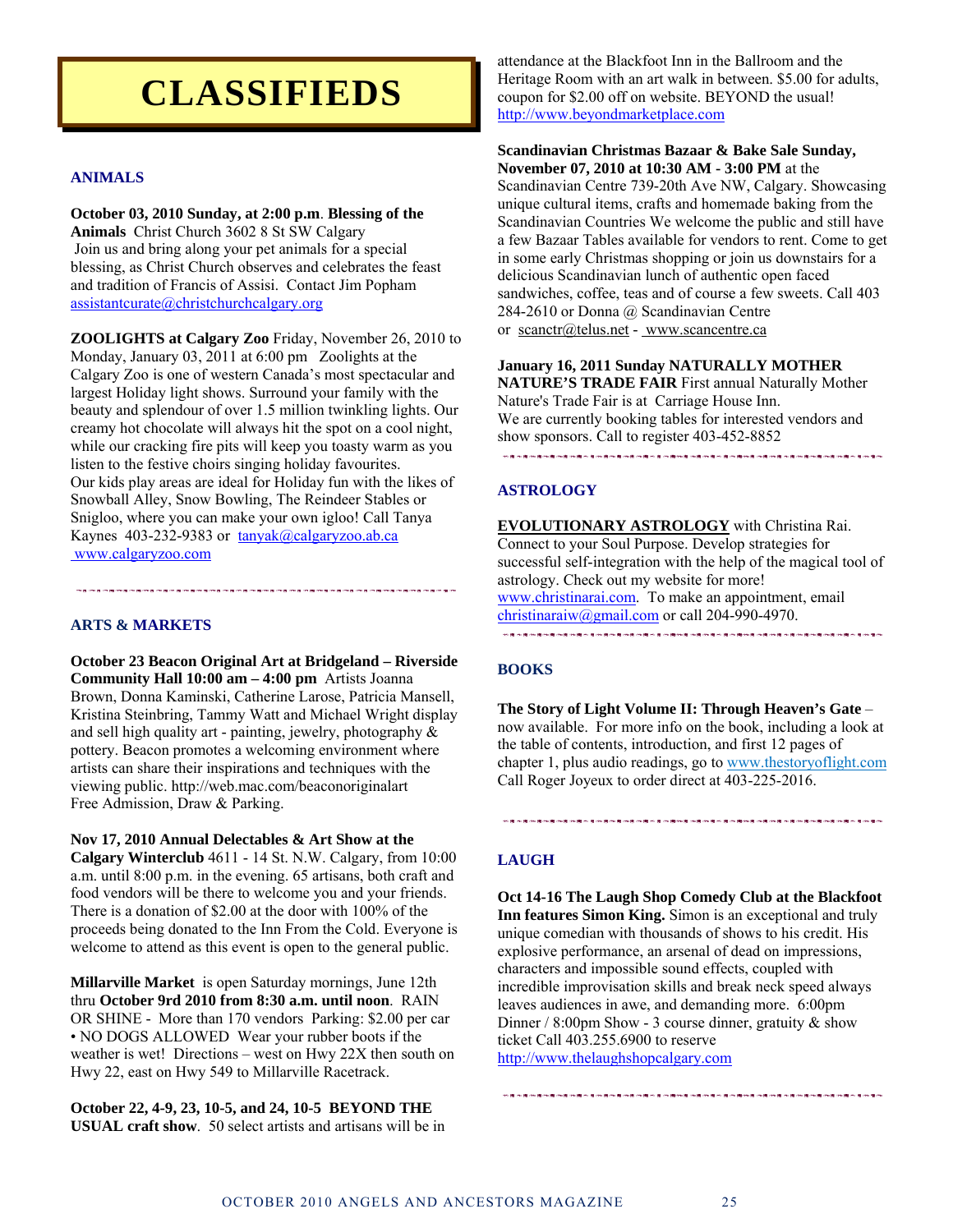# **CLASSIFIEDS**

#### **ANIMALS**

**October 03, 2010 Sunday, at 2:00 p.m**. **Blessing of the Animals** Christ Church 3602 8 St SW Calgary Join us and bring along your pet animals for a special blessing, as Christ Church observes and celebrates the feast and tradition of Francis of Assisi. Contact Jim Popham assistantcurate@christchurchcalgary.org

**ZOOLIGHTS at Calgary Zoo** Friday, November 26, 2010 to Monday, January 03, 2011 at 6:00 pm Zoolights at the Calgary Zoo is one of western Canada's most spectacular and largest Holiday light shows. Surround your family with the beauty and splendour of over 1.5 million twinkling lights. Our creamy hot chocolate will always hit the spot on a cool night, while our cracking fire pits will keep you toasty warm as you listen to the festive choirs singing holiday favourites. Our kids play areas are ideal for Holiday fun with the likes of Snowball Alley, Snow Bowling, The Reindeer Stables or Snigloo, where you can make your own igloo! Call Tanya Kaynes 403-232-9383 or tanyak@calgaryzoo.ab.ca www.calgaryzoo.com

**ARTS & MARKETS** 

**October 23 Beacon Original Art at Bridgeland – Riverside Community Hall 10:00 am – 4:00 pm** Artists Joanna Brown, Donna Kaminski, Catherine Larose, Patricia Mansell, Kristina Steinbring, Tammy Watt and Michael Wright display and sell high quality art - painting, jewelry, photography & pottery. Beacon promotes a welcoming environment where artists can share their inspirations and techniques with the viewing public. http://web.mac.com/beaconoriginalart Free Admission, Draw & Parking.

**Nov 17, 2010 Annual Delectables & Art Show at the Calgary Winterclub** 4611 - 14 St. N.W. Calgary, from 10:00 a.m. until 8:00 p.m. in the evening. 65 artisans, both craft and food vendors will be there to welcome you and your friends. There is a donation of \$2.00 at the door with 100% of the proceeds being donated to the Inn From the Cold. Everyone is welcome to attend as this event is open to the general public.

**Millarville Market** is open Saturday mornings, June 12th thru **October 9rd 2010 from 8:30 a.m. until noon**. RAIN OR SHINE - More than 170 vendors Parking: \$2.00 per car • NO DOGS ALLOWED Wear your rubber boots if the weather is wet! Directions – west on Hwy 22X then south on Hwy 22, east on Hwy 549 to Millarville Racetrack.

**October 22, 4-9, 23, 10-5, and 24, 10-5 BEYOND THE USUAL craft show**. 50 select artists and artisans will be in

attendance at the Blackfoot Inn in the Ballroom and the Heritage Room with an art walk in between. \$5.00 for adults, coupon for \$2.00 off on website. BEYOND the usual! http://www.beyondmarketplace.com

#### **Scandinavian Christmas Bazaar & Bake Sale Sunday, November 07, 2010 at 10:30 AM - 3:00 PM** at the

Scandinavian Centre 739-20th Ave NW, Calgary. Showcasing unique cultural items, crafts and homemade baking from the Scandinavian Countries We welcome the public and still have a few Bazaar Tables available for vendors to rent. Come to get in some early Christmas shopping or join us downstairs for a delicious Scandinavian lunch of authentic open faced sandwiches, coffee, teas and of course a few sweets. Call 403 284-2610 or Donna @ Scandinavian Centre or scanctr@telus.net - www.scancentre.ca

**January 16, 2011 Sunday NATURALLY MOTHER NATURE'S TRADE FAIR** First annual Naturally Mother Nature's Trade Fair is at Carriage House Inn. We are currently booking tables for interested vendors and show sponsors. Call to register 403-452-8852

### **在新开始上面出现在的新开始开始上面的新开始的新开始上班的新开始的新开始上班的新开始的新开始的新开始的新开始的新开始的新开始的**

#### **ASTROLOGY**

**EVOLUTIONARY ASTROLOGY** with Christina Rai. Connect to your Soul Purpose. Develop strategies for successful self-integration with the help of the magical tool of astrology. Check out my website for more! www.christinarai.com. To make an appointment, email christinaraiw@gmail.com or call 204-990-4970. 。<br>在我的第一篇的 我的爱好的小爱的爱好的爱好的爱好的爱好爱的爱好爱的爱好的爱好爱的爱好爱的爱好的爱好爱的爱好爱的爱好爱的爱好的爱

#### **BOOKS**

**The Story of Light Volume II: Through Heaven's Gate** – now available. For more info on the book, including a look at the table of contents, introduction, and first 12 pages of chapter 1, plus audio readings, go to www.thestoryoflight.com Call Roger Joyeux to order direct at 403-225-2016.

#### **LAUGH**

**Oct 14-16 The Laugh Shop Comedy Club at the Blackfoot Inn features Simon King.** Simon is an exceptional and truly unique comedian with thousands of shows to his credit. His explosive performance, an arsenal of dead on impressions, characters and impossible sound effects, coupled with incredible improvisation skills and break neck speed always leaves audiences in awe, and demanding more. 6:00pm Dinner / 8:00pm Show - 3 course dinner, gratuity & show ticket Call 403.255.6900 to reserve http://www.thelaughshopcalgary.com

**医自动性心包内障 医自动性皮肤病 医心包动脉 医自动性 医中心性 医中间心 医中间心 电子 网络海外科 医阿尔特氏神经节 医心包 医心包 医心包**